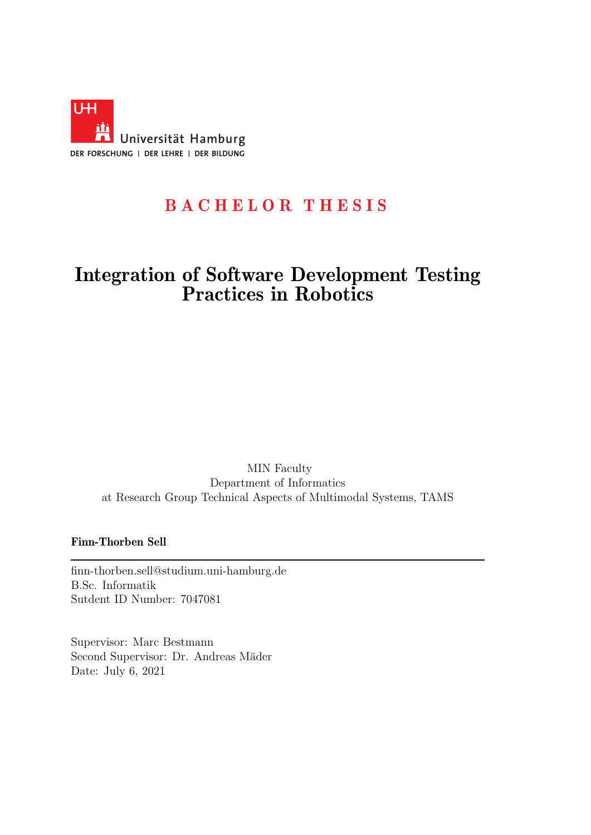<span id="page-0-0"></span>

## BACHELOR THESIS

## Integration of Software Development Testing Practices in Robotics

MIN Faculty Department of Informatics at Research Group Technical Aspects of Multimodal Systems, TAMS

#### Finn-Thorben Sell

finn-thorben.sell@studium.uni-hamburg.de B.Sc. Informatik Sutdent ID Number: 7047081

Supervisor: Marc Bestmann Second Supervisor: Dr. Andreas Mäder Date: July 6, 2021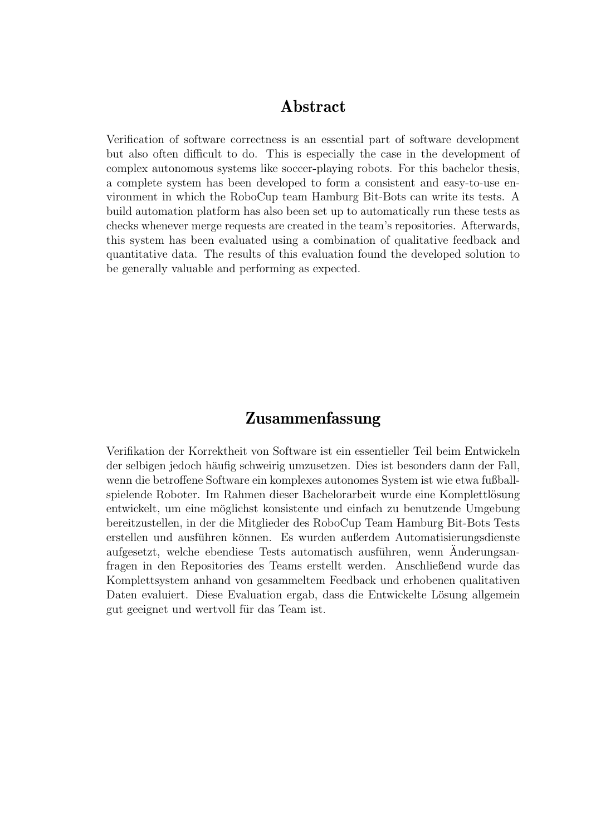#### Abstract

Verification of software correctness is an essential part of software development but also often difficult to do. This is especially the case in the development of complex autonomous systems like soccer-playing robots. For this bachelor thesis, a complete system has been developed to form a consistent and easy-to-use environment in which the RoboCup team Hamburg Bit-Bots can write its tests. A build automation platform has also been set up to automatically run these tests as checks whenever merge requests are created in the team's repositories. Afterwards, this system has been evaluated using a combination of qualitative feedback and quantitative data. The results of this evaluation found the developed solution to be generally valuable and performing as expected.

#### Zusammenfassung

Verifikation der Korrektheit von Software ist ein essentieller Teil beim Entwickeln der selbigen jedoch häufig schweirig umzusetzen. Dies ist besonders dann der Fall, wenn die betroffene Software ein komplexes autonomes System ist wie etwa fußballspielende Roboter. Im Rahmen dieser Bachelorarbeit wurde eine Komplettlösung entwickelt, um eine möglichst konsistente und einfach zu benutzende Umgebung bereitzustellen, in der die Mitglieder des RoboCup Team Hamburg Bit-Bots Tests erstellen und ausführen können. Es wurden außerdem Automatisierungsdienste aufgesetzt, welche ebendiese Tests automatisch ausführen, wenn Änderungsanfragen in den Repositories des Teams erstellt werden. Anschließend wurde das Komplettsystem anhand von gesammeltem Feedback und erhobenen qualitativen Daten evaluiert. Diese Evaluation ergab, dass die Entwickelte Lösung allgemein gut geeignet und wertvoll für das Team ist.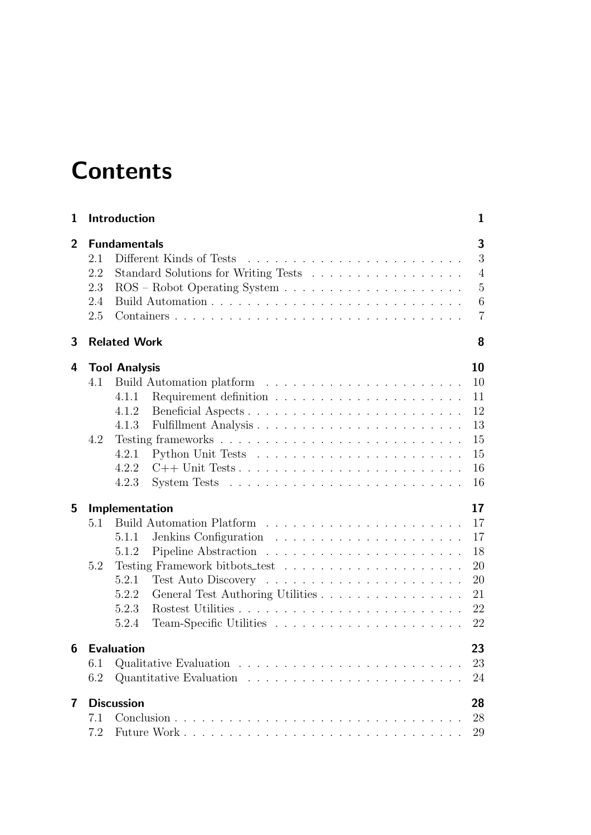# **Contents**

| 1              | Introduction                                                                                                                                                                                                             |  |  |  |  |  |  |  |
|----------------|--------------------------------------------------------------------------------------------------------------------------------------------------------------------------------------------------------------------------|--|--|--|--|--|--|--|
| $\overline{2}$ | <b>Fundamentals</b><br>Different Kinds of Tests<br>2.1<br>2.2<br>2.3<br>$ROS - Robot Operating System \ldots \ldots \ldots \ldots \ldots \ldots \ldots$<br>2.4<br>2.5                                                    |  |  |  |  |  |  |  |
| 3              | <b>Related Work</b><br>8                                                                                                                                                                                                 |  |  |  |  |  |  |  |
| 4<br>5         | <b>Tool Analysis</b><br>10<br>10<br>4.1<br>4.1.1<br>11<br>Beneficial Aspects<br>12<br>4.1.2<br>4.1.3<br>13<br>4.2<br>15<br>15<br>4.2.1<br>4.2.2<br>16<br>4.2.3<br>16<br>17<br>Implementation<br>17<br>5.1<br>17<br>5.1.1 |  |  |  |  |  |  |  |
|                | 18<br>5.1.2<br>5.2<br><b>20</b><br>5.2.1<br>20<br>5.2.2<br>General Test Authoring Utilities<br>21<br>5.2.3<br>22<br>5.2.4<br>22                                                                                          |  |  |  |  |  |  |  |
|                | 23<br><b>6</b> Evaluation<br>6.1<br>23<br>6.2<br>24                                                                                                                                                                      |  |  |  |  |  |  |  |
| 7              | <b>Discussion</b><br>28<br>28<br>7.1<br>7.2<br>29                                                                                                                                                                        |  |  |  |  |  |  |  |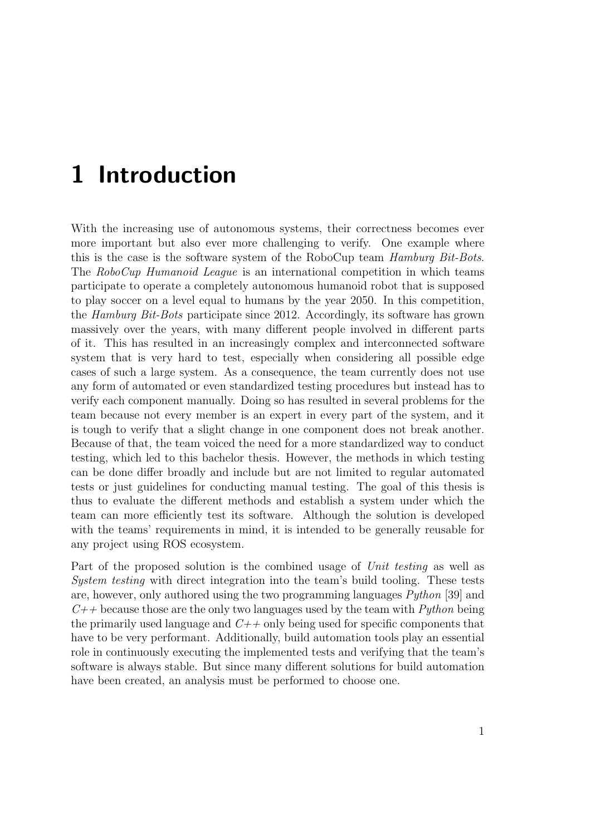# <span id="page-3-0"></span>1 Introduction

With the increasing use of autonomous systems, their correctness becomes ever more important but also ever more challenging to verify. One example where this is the case is the software system of the RoboCup team Hamburg Bit-Bots. The RoboCup Humanoid League is an international competition in which teams participate to operate a completely autonomous humanoid robot that is supposed to play soccer on a level equal to humans by the year 2050. In this competition, the Hamburg Bit-Bots participate since 2012. Accordingly, its software has grown massively over the years, with many different people involved in different parts of it. This has resulted in an increasingly complex and interconnected software system that is very hard to test, especially when considering all possible edge cases of such a large system. As a consequence, the team currently does not use any form of automated or even standardized testing procedures but instead has to verify each component manually. Doing so has resulted in several problems for the team because not every member is an expert in every part of the system, and it is tough to verify that a slight change in one component does not break another. Because of that, the team voiced the need for a more standardized way to conduct testing, which led to this bachelor thesis. However, the methods in which testing can be done differ broadly and include but are not limited to regular automated tests or just guidelines for conducting manual testing. The goal of this thesis is thus to evaluate the different methods and establish a system under which the team can more efficiently test its software. Although the solution is developed with the teams' requirements in mind, it is intended to be generally reusable for any project using ROS ecosystem.

Part of the proposed solution is the combined usage of Unit testing as well as System testing with direct integration into the team's build tooling. These tests are, however, only authored using the two programming languages Python [\[39\]](#page-36-0) and  $C_{++}$  because those are the only two languages used by the team with *Python* being the primarily used language and  $C++$  only being used for specific components that have to be very performant. Additionally, build automation tools play an essential role in continuously executing the implemented tests and verifying that the team's software is always stable. But since many different solutions for build automation have been created, an analysis must be performed to choose one.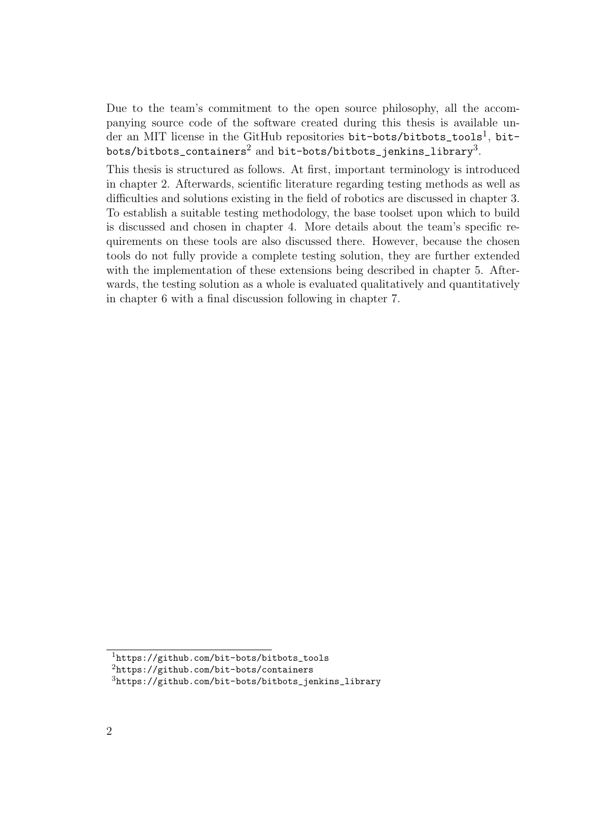Due to the team's commitment to the open source philosophy, all the accompanying source code of the software created during this thesis is available un-der an MIT license in the GitHub repositories bit-bots/bitbots\_tools<sup>[1](#page-4-0)</sup>, bit-<code>bots/bitbots\_containers $^2$  $^2$ </code> and <code>bit-bots/bitbots\_jenkins\_library $^3\!$  $^3\!$  $^3\!$ .</code>

This thesis is structured as follows. At first, important terminology is introduced in [chapter 2.](#page-5-0) Afterwards, scientific literature regarding testing methods as well as difficulties and solutions existing in the field of robotics are discussed in [chapter 3.](#page-10-0) To establish a suitable testing methodology, the base toolset upon which to build is discussed and chosen in [chapter 4.](#page-12-0) More details about the team's specific requirements on these tools are also discussed there. However, because the chosen tools do not fully provide a complete testing solution, they are further extended with the implementation of these extensions being described in [chapter 5.](#page-19-0) Afterwards, the testing solution as a whole is evaluated qualitatively and quantitatively in [chapter 6](#page-25-0) with a final discussion following in [chapter 7.](#page-30-0)

<span id="page-4-0"></span><sup>1</sup>[https://github.com/bit-bots/bitbots\\_tools](https://github.com/bit-bots/bitbots_tools)

<span id="page-4-1"></span><sup>2</sup><https://github.com/bit-bots/containers>

<span id="page-4-2"></span><sup>3</sup>[https://github.com/bit-bots/bitbots\\_jenkins\\_library](https://github.com/bit-bots/bitbots_jenkins_library)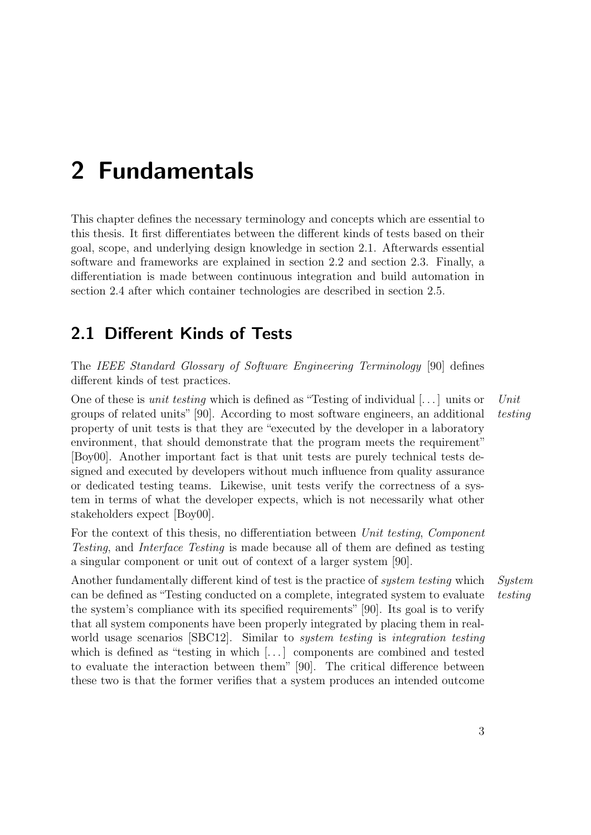## <span id="page-5-0"></span>2 Fundamentals

This chapter defines the necessary terminology and concepts which are essential to this thesis. It first differentiates between the different kinds of tests based on their goal, scope, and underlying design knowledge in [section 2.1.](#page-5-1) Afterwards essential software and frameworks are explained in [section 2.2](#page-6-0) and [section 2.3.](#page-7-0) Finally, a differentiation is made between continuous integration and build automation in [section 2.4](#page-8-0) after which container technologies are described in [section 2.5.](#page-9-0)

### <span id="page-5-1"></span>2.1 Different Kinds of Tests

The IEEE Standard Glossary of Software Engineering Terminology [\[90\]](#page-32-0) defines different kinds of test practices.

One of these is *unit testing* which is defined as "Testing of individual  $[...]$  units or Unit groups of related units" [\[90\]](#page-32-0). According to most software engineers, an additional testing property of unit tests is that they are "executed by the developer in a laboratory environment, that should demonstrate that the program meets the requirement" [\[Boy00\]](#page-32-1). Another important fact is that unit tests are purely technical tests designed and executed by developers without much influence from quality assurance or dedicated testing teams. Likewise, unit tests verify the correctness of a system in terms of what the developer expects, which is not necessarily what other stakeholders expect [\[Boy00\]](#page-32-1).

For the context of this thesis, no differentiation between Unit testing, Component Testing, and Interface Testing is made because all of them are defined as testing a singular component or unit out of context of a larger system [\[90\]](#page-32-0).

Another fundamentally different kind of test is the practice of *system testing* which System can be defined as "Testing conducted on a complete, integrated system to evaluate testing the system's compliance with its specified requirements" [\[90\]](#page-32-0). Its goal is to verify that all system components have been properly integrated by placing them in real-world usage scenarios [\[SBC12\]](#page-32-2). Similar to *system testing* is *integration testing* which is defined as "testing in which [...] components are combined and tested to evaluate the interaction between them" [\[90\]](#page-32-0). The critical difference between these two is that the former verifies that a system produces an intended outcome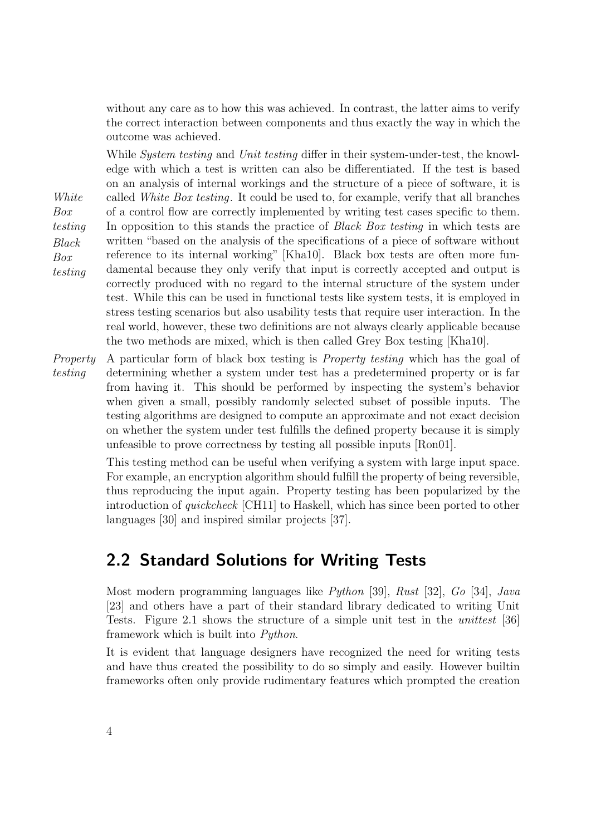without any care as to how this was achieved. In contrast, the latter aims to verify the correct interaction between components and thus exactly the way in which the outcome was achieved.

While *System testing* and *Unit testing* differ in their system-under-test, the knowledge with which a test is written can also be differentiated. If the test is based on an analysis of internal workings and the structure of a piece of software, it is White called White Box testing. It could be used to, for example, verify that all branches Box testing of a control flow are correctly implemented by writing test cases specific to them. In opposition to this stands the practice of *Black Box testing* in which tests are Black Box testing written "based on the analysis of the specifications of a piece of software without reference to its internal working" [\[Kha10\]](#page-32-3). Black box tests are often more fundamental because they only verify that input is correctly accepted and output is correctly produced with no regard to the internal structure of the system under test. While this can be used in functional tests like system tests, it is employed in stress testing scenarios but also usability tests that require user interaction. In the real world, however, these two definitions are not always clearly applicable because the two methods are mixed, which is then called Grey Box testing [\[Kha10\]](#page-32-3).

Property A particular form of black box testing is *Property testing* which has the goal of testing determining whether a system under test has a predetermined property or is far from having it. This should be performed by inspecting the system's behavior when given a small, possibly randomly selected subset of possible inputs. The testing algorithms are designed to compute an approximate and not exact decision on whether the system under test fulfills the defined property because it is simply unfeasible to prove correctness by testing all possible inputs [\[Ron01\]](#page-32-4).

> This testing method can be useful when verifying a system with large input space. For example, an encryption algorithm should fulfill the property of being reversible, thus reproducing the input again. Property testing has been popularized by the introduction of quickcheck [\[CH11\]](#page-32-5) to Haskell, which has since been ported to other languages [\[30\]](#page-35-0) and inspired similar projects [\[37\]](#page-35-1).

## <span id="page-6-0"></span>2.2 Standard Solutions for Writing Tests

Most modern programming languages like Python [\[39\]](#page-36-0), Rust [\[32\]](#page-35-2), Go [\[34\]](#page-35-3), Java [\[23\]](#page-35-4) and others have a part of their standard library dedicated to writing Unit Tests. [Figure 2.1](#page-7-1) shows the structure of a simple unit test in the unittest [\[36\]](#page-35-5) framework which is built into Python.

It is evident that language designers have recognized the need for writing tests and have thus created the possibility to do so simply and easily. However builtin frameworks often only provide rudimentary features which prompted the creation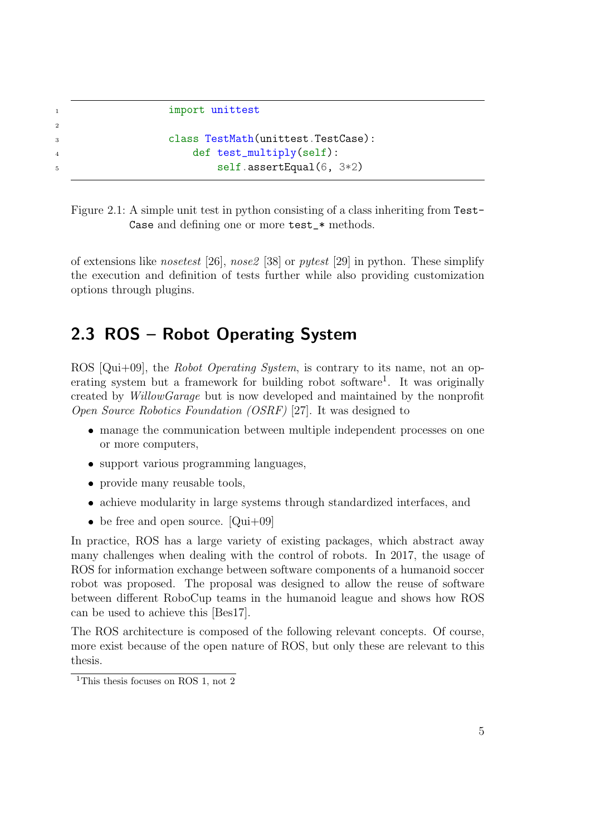```
1 import unittest
```
2

```
3 class TestMath(unittest.TestCase):
4 def test_multiply(self):
5 self.assertEqual(6, 3*2)
```
<span id="page-7-1"></span>Figure 2.1: A simple unit test in python consisting of a class inheriting from Test-Case and defining one or more test\_\* methods.

of extensions like *nosetest* [\[26\]](#page-35-6), *nose2* [\[38\]](#page-35-7) or *pytest* [\[29\]](#page-35-8) in python. These simplify the execution and definition of tests further while also providing customization options through plugins.

## <span id="page-7-0"></span>2.3 ROS – Robot Operating System

ROS [\[Qui+09\]](#page-32-6), the *Robot Operating System*, is contrary to its name, not an op-erating system but a framework for building robot software<sup>[1](#page-7-2)</sup>. It was originally created by WillowGarage but is now developed and maintained by the nonprofit Open Source Robotics Foundation (OSRF) [\[27\]](#page-35-9). It was designed to

- manage the communication between multiple independent processes on one or more computers,
- support various programming languages,
- provide many reusable tools,
- achieve modularity in large systems through standardized interfaces, and
- be free and open source.  $[Qui+09]$

In practice, ROS has a large variety of existing packages, which abstract away many challenges when dealing with the control of robots. In 2017, the usage of ROS for information exchange between software components of a humanoid soccer robot was proposed. The proposal was designed to allow the reuse of software between different RoboCup teams in the humanoid league and shows how ROS can be used to achieve this [\[Bes17\]](#page-33-0).

The ROS architecture is composed of the following relevant concepts. Of course, more exist because of the open nature of ROS, but only these are relevant to this thesis.

<span id="page-7-2"></span><sup>&</sup>lt;sup>1</sup>This thesis focuses on ROS 1, not 2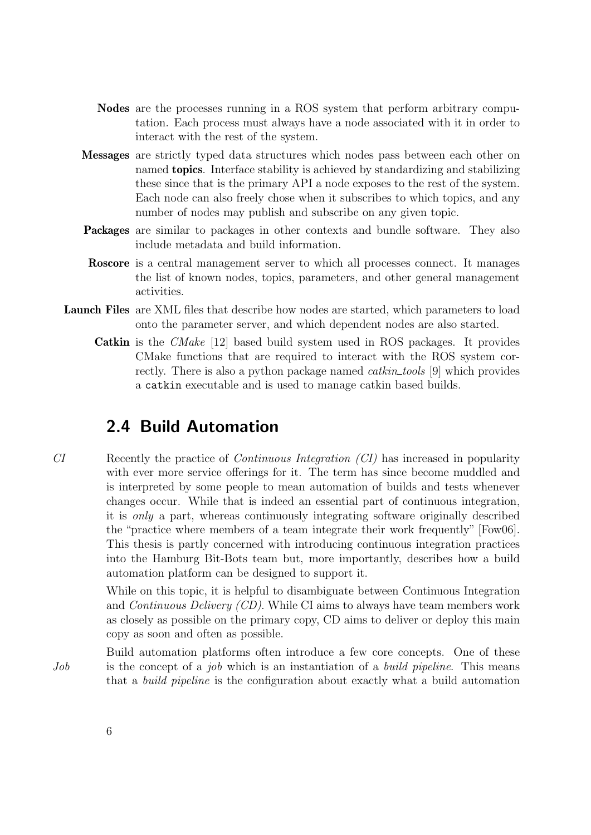- Nodes are the processes running in a ROS system that perform arbitrary computation. Each process must always have a node associated with it in order to interact with the rest of the system.
- Messages are strictly typed data structures which nodes pass between each other on named topics. Interface stability is achieved by standardizing and stabilizing these since that is the primary API a node exposes to the rest of the system. Each node can also freely chose when it subscribes to which topics, and any number of nodes may publish and subscribe on any given topic.
- Packages are similar to packages in other contexts and bundle software. They also include metadata and build information.
- Roscore is a central management server to which all processes connect. It manages the list of known nodes, topics, parameters, and other general management activities.
- Launch Files are XML files that describe how nodes are started, which parameters to load onto the parameter server, and which dependent nodes are also started.
	- Catkin is the CMake [\[12\]](#page-34-0) based build system used in ROS packages. It provides CMake functions that are required to interact with the ROS system correctly. There is also a python package named *catkin\_tools* [\[9\]](#page-34-1) which provides a catkin executable and is used to manage catkin based builds.

### <span id="page-8-0"></span>2.4 Build Automation

CI Recently the practice of Continuous Integration (CI) has increased in popularity with ever more service offerings for it. The term has since become muddled and is interpreted by some people to mean automation of builds and tests whenever changes occur. While that is indeed an essential part of continuous integration, it is only a part, whereas continuously integrating software originally described the "practice where members of a team integrate their work frequently" [\[Fow06\]](#page-33-1). This thesis is partly concerned with introducing continuous integration practices into the Hamburg Bit-Bots team but, more importantly, describes how a build automation platform can be designed to support it.

> While on this topic, it is helpful to disambiguate between Continuous Integration and Continuous Delivery (CD). While CI aims to always have team members work as closely as possible on the primary copy, CD aims to deliver or deploy this main copy as soon and often as possible.

Build automation platforms often introduce a few core concepts. One of these Job is the concept of a job which is an instantiation of a build pipeline. This means that a build pipeline is the configuration about exactly what a build automation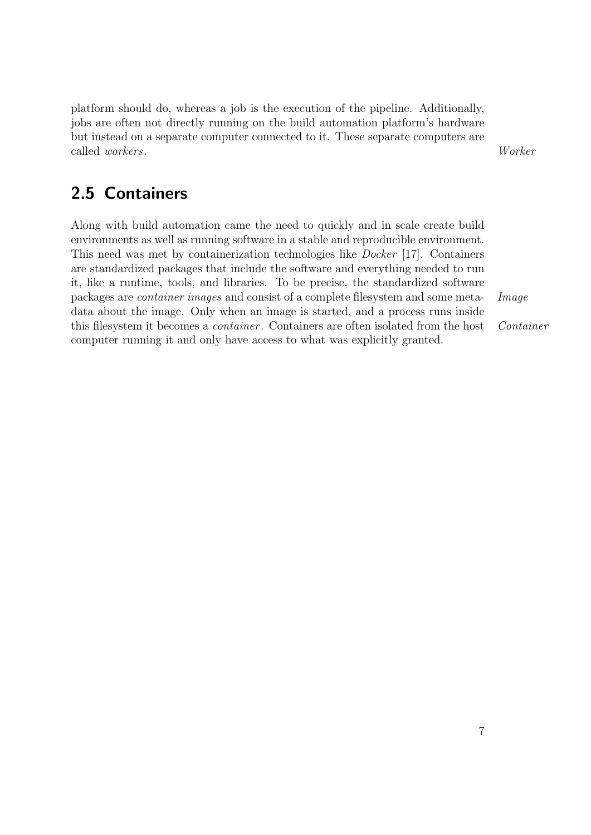platform should do, whereas a job is the execution of the pipeline. Additionally, jobs are often not directly running on the build automation platform's hardware but instead on a separate computer connected to it. These separate computers are called workers. Worker

## <span id="page-9-0"></span>2.5 Containers

Along with build automation came the need to quickly and in scale create build environments as well as running software in a stable and reproducible environment. This need was met by containerization technologies like Docker [\[17\]](#page-34-2). Containers are standardized packages that include the software and everything needed to run it, like a runtime, tools, and libraries. To be precise, the standardized software packages are container images and consist of a complete filesystem and some meta- Image data about the image. Only when an image is started, and a process runs inside this filesystem it becomes a *container*. Containers are often isolated from the host *Container* computer running it and only have access to what was explicitly granted.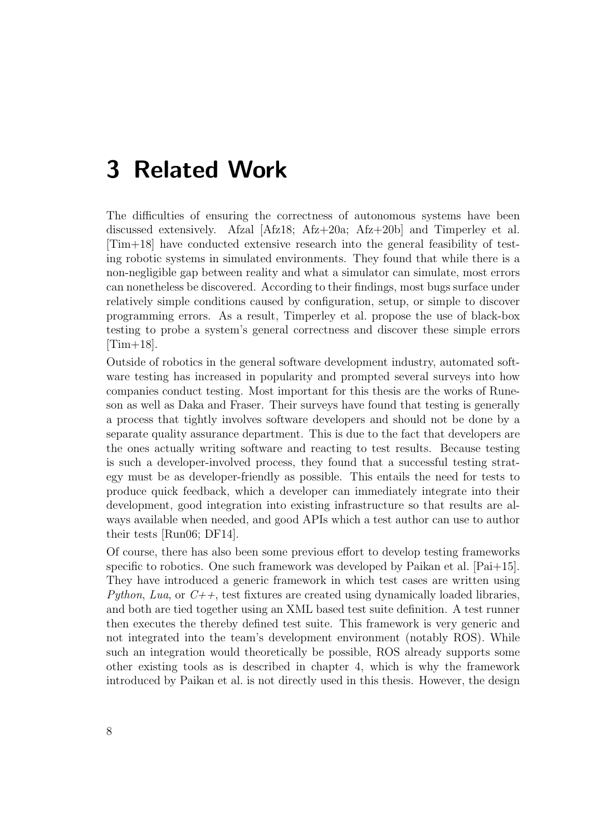## <span id="page-10-0"></span>3 Related Work

The difficulties of ensuring the correctness of autonomous systems have been discussed extensively. Afzal  $[Afz18; Afz+20a; Afz+20b]$  $[Afz18; Afz+20a; Afz+20b]$  $[Afz18; Afz+20a; Afz+20b]$  and Timperley et al. [\[Tim+18\]](#page-33-5) have conducted extensive research into the general feasibility of testing robotic systems in simulated environments. They found that while there is a non-negligible gap between reality and what a simulator can simulate, most errors can nonetheless be discovered. According to their findings, most bugs surface under relatively simple conditions caused by configuration, setup, or simple to discover programming errors. As a result, Timperley et al. propose the use of black-box testing to probe a system's general correctness and discover these simple errors  $[Tim+18]$ .

Outside of robotics in the general software development industry, automated software testing has increased in popularity and prompted several surveys into how companies conduct testing. Most important for this thesis are the works of Runeson as well as Daka and Fraser. Their surveys have found that testing is generally a process that tightly involves software developers and should not be done by a separate quality assurance department. This is due to the fact that developers are the ones actually writing software and reacting to test results. Because testing is such a developer-involved process, they found that a successful testing strategy must be as developer-friendly as possible. This entails the need for tests to produce quick feedback, which a developer can immediately integrate into their development, good integration into existing infrastructure so that results are always available when needed, and good APIs which a test author can use to author their tests [\[Run06;](#page-32-7) [DF14\]](#page-32-8).

Of course, there has also been some previous effort to develop testing frameworks specific to robotics. One such framework was developed by Paikan et al. [\[Pai+15\]](#page-32-9). They have introduced a generic framework in which test cases are written using Python, Lua, or  $C_{++}$ , test fixtures are created using dynamically loaded libraries, and both are tied together using an XML based test suite definition. A test runner then executes the thereby defined test suite. This framework is very generic and not integrated into the team's development environment (notably ROS). While such an integration would theoretically be possible, ROS already supports some other existing tools as is described in [chapter 4,](#page-12-0) which is why the framework introduced by Paikan et al. is not directly used in this thesis. However, the design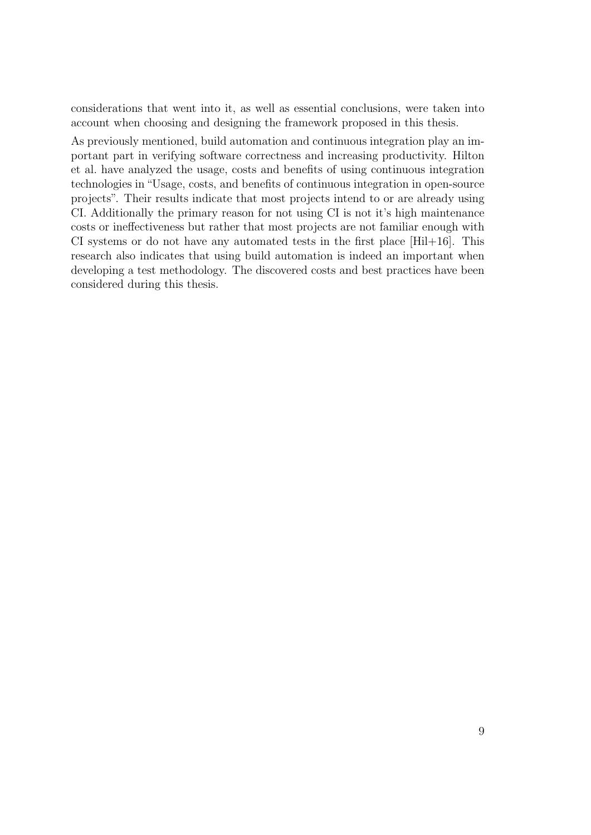considerations that went into it, as well as essential conclusions, were taken into account when choosing and designing the framework proposed in this thesis.

As previously mentioned, build automation and continuous integration play an important part in verifying software correctness and increasing productivity. Hilton et al. have analyzed the usage, costs and benefits of using continuous integration technologies in "Usage, costs, and benefits of continuous integration in open-source projects". Their results indicate that most projects intend to or are already using CI. Additionally the primary reason for not using CI is not it's high maintenance costs or ineffectiveness but rather that most projects are not familiar enough with CI systems or do not have any automated tests in the first place [\[Hil+16\]](#page-33-6). This research also indicates that using build automation is indeed an important when developing a test methodology. The discovered costs and best practices have been considered during this thesis.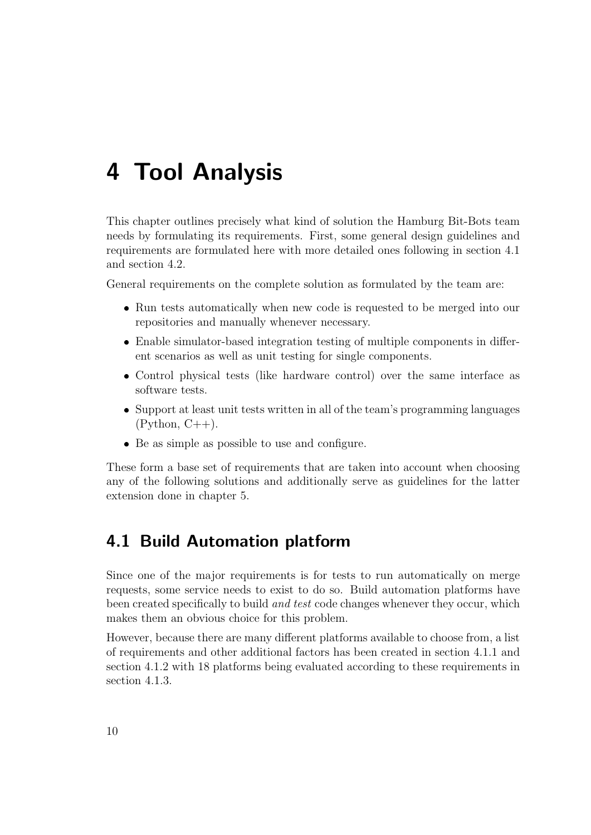## <span id="page-12-0"></span>4 Tool Analysis

This chapter outlines precisely what kind of solution the Hamburg Bit-Bots team needs by formulating its requirements. First, some general design guidelines and requirements are formulated here with more detailed ones following in [section 4.1](#page-12-1) and [section 4.2.](#page-17-0)

General requirements on the complete solution as formulated by the team are:

- Run tests automatically when new code is requested to be merged into our repositories and manually whenever necessary.
- Enable simulator-based integration testing of multiple components in different scenarios as well as unit testing for single components.
- Control physical tests (like hardware control) over the same interface as software tests.
- Support at least unit tests written in all of the team's programming languages  $(Python, C++)$ .
- Be as simple as possible to use and configure.

These form a base set of requirements that are taken into account when choosing any of the following solutions and additionally serve as guidelines for the latter extension done in [chapter 5.](#page-19-0)

### <span id="page-12-1"></span>4.1 Build Automation platform

Since one of the major requirements is for tests to run automatically on merge requests, some service needs to exist to do so. Build automation platforms have been created specifically to build *and test* code changes whenever they occur, which makes them an obvious choice for this problem.

However, because there are many different platforms available to choose from, a list of requirements and other additional factors has been created in [section 4.1.1](#page-13-0) and [section 4.1.2](#page-14-0) with 18 platforms being evaluated according to these requirements in [section 4.1.3.](#page-15-0)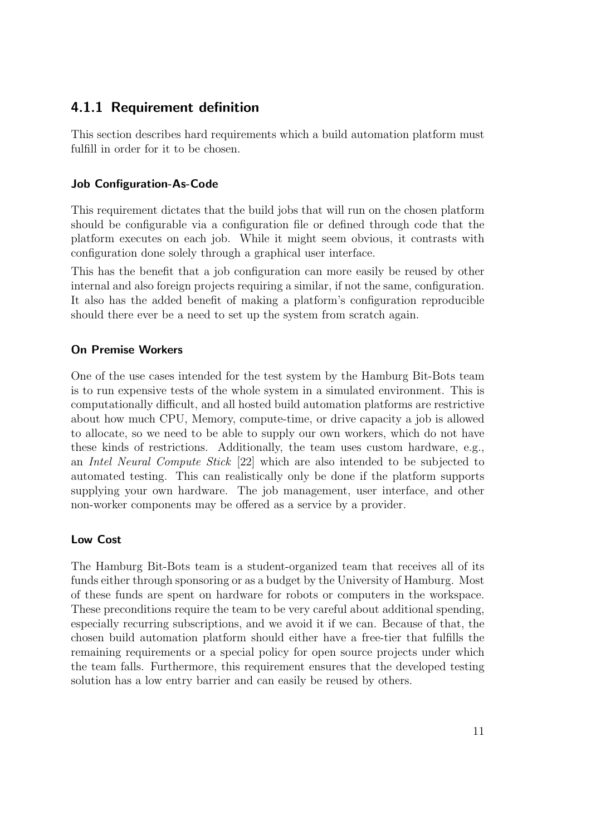#### <span id="page-13-0"></span>4.1.1 Requirement definition

This section describes hard requirements which a build automation platform must fulfill in order for it to be chosen.

#### Job Configuration-As-Code

This requirement dictates that the build jobs that will run on the chosen platform should be configurable via a configuration file or defined through code that the platform executes on each job. While it might seem obvious, it contrasts with configuration done solely through a graphical user interface.

This has the benefit that a job configuration can more easily be reused by other internal and also foreign projects requiring a similar, if not the same, configuration. It also has the added benefit of making a platform's configuration reproducible should there ever be a need to set up the system from scratch again.

#### On Premise Workers

One of the use cases intended for the test system by the Hamburg Bit-Bots team is to run expensive tests of the whole system in a simulated environment. This is computationally difficult, and all hosted build automation platforms are restrictive about how much CPU, Memory, compute-time, or drive capacity a job is allowed to allocate, so we need to be able to supply our own workers, which do not have these kinds of restrictions. Additionally, the team uses custom hardware, e.g., an Intel Neural Compute Stick [\[22\]](#page-35-10) which are also intended to be subjected to automated testing. This can realistically only be done if the platform supports supplying your own hardware. The job management, user interface, and other non-worker components may be offered as a service by a provider.

#### Low Cost

The Hamburg Bit-Bots team is a student-organized team that receives all of its funds either through sponsoring or as a budget by the University of Hamburg. Most of these funds are spent on hardware for robots or computers in the workspace. These preconditions require the team to be very careful about additional spending, especially recurring subscriptions, and we avoid it if we can. Because of that, the chosen build automation platform should either have a free-tier that fulfills the remaining requirements or a special policy for open source projects under which the team falls. Furthermore, this requirement ensures that the developed testing solution has a low entry barrier and can easily be reused by others.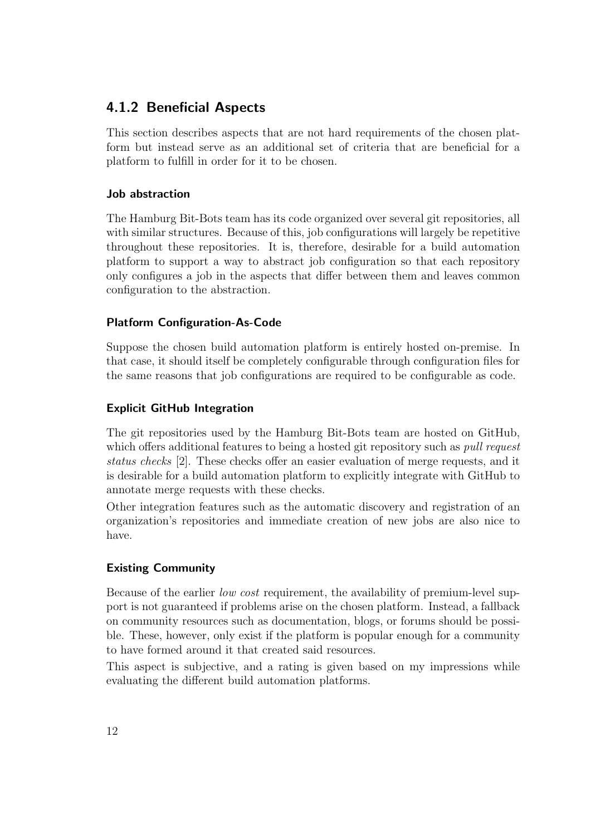#### <span id="page-14-0"></span>4.1.2 Beneficial Aspects

This section describes aspects that are not hard requirements of the chosen platform but instead serve as an additional set of criteria that are beneficial for a platform to fulfill in order for it to be chosen.

#### Job abstraction

The Hamburg Bit-Bots team has its code organized over several git repositories, all with similar structures. Because of this, job configurations will largely be repetitive throughout these repositories. It is, therefore, desirable for a build automation platform to support a way to abstract job configuration so that each repository only configures a job in the aspects that differ between them and leaves common configuration to the abstraction.

#### Platform Configuration-As-Code

Suppose the chosen build automation platform is entirely hosted on-premise. In that case, it should itself be completely configurable through configuration files for the same reasons that job configurations are required to be configurable as code.

#### Explicit GitHub Integration

The git repositories used by the Hamburg Bit-Bots team are hosted on GitHub, which offers additional features to being a hosted git repository such as *pull request* status checks [\[2\]](#page-33-7). These checks offer an easier evaluation of merge requests, and it is desirable for a build automation platform to explicitly integrate with GitHub to annotate merge requests with these checks.

Other integration features such as the automatic discovery and registration of an organization's repositories and immediate creation of new jobs are also nice to have.

#### Existing Community

Because of the earlier low cost requirement, the availability of premium-level support is not guaranteed if problems arise on the chosen platform. Instead, a fallback on community resources such as documentation, blogs, or forums should be possible. These, however, only exist if the platform is popular enough for a community to have formed around it that created said resources.

This aspect is subjective, and a rating is given based on my impressions while evaluating the different build automation platforms.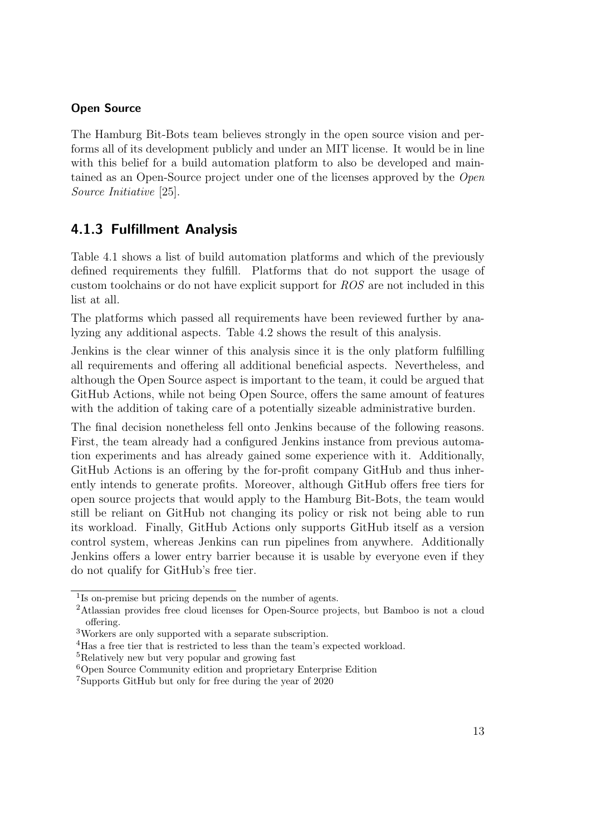#### Open Source

The Hamburg Bit-Bots team believes strongly in the open source vision and performs all of its development publicly and under an MIT license. It would be in line with this belief for a build automation platform to also be developed and maintained as an Open-Source project under one of the licenses approved by the Open Source Initiative [\[25\]](#page-35-11).

#### <span id="page-15-0"></span>4.1.3 Fulfillment Analysis

[Table 4.1](#page-16-0) shows a list of build automation platforms and which of the previously defined requirements they fulfill. Platforms that do not support the usage of custom toolchains or do not have explicit support for ROS are not included in this list at all.

The platforms which passed all requirements have been reviewed further by analyzing any additional aspects. [Table 4.2](#page-17-2) shows the result of this analysis.

Jenkins is the clear winner of this analysis since it is the only platform fulfilling all requirements and offering all additional beneficial aspects. Nevertheless, and although the Open Source aspect is important to the team, it could be argued that GitHub Actions, while not being Open Source, offers the same amount of features with the addition of taking care of a potentially sizeable administrative burden.

The final decision nonetheless fell onto Jenkins because of the following reasons. First, the team already had a configured Jenkins instance from previous automation experiments and has already gained some experience with it. Additionally, GitHub Actions is an offering by the for-profit company GitHub and thus inherently intends to generate profits. Moreover, although GitHub offers free tiers for open source projects that would apply to the Hamburg Bit-Bots, the team would still be reliant on GitHub not changing its policy or risk not being able to run its workload. Finally, GitHub Actions only supports GitHub itself as a version control system, whereas Jenkins can run pipelines from anywhere. Additionally Jenkins offers a lower entry barrier because it is usable by everyone even if they do not qualify for GitHub's free tier.

<sup>1</sup> Is on-premise but pricing depends on the number of agents.

<sup>2</sup>Atlassian provides free cloud licenses for Open-Source projects, but Bamboo is not a cloud offering.

<sup>3</sup>Workers are only supported with a separate subscription.

<sup>4</sup>Has a free tier that is restricted to less than the team's expected workload.

<sup>5</sup>Relatively new but very popular and growing fast

<sup>6</sup>Open Source Community edition and proprietary Enterprise Edition

<sup>7</sup>Supports GitHub but only for free during the year of 2020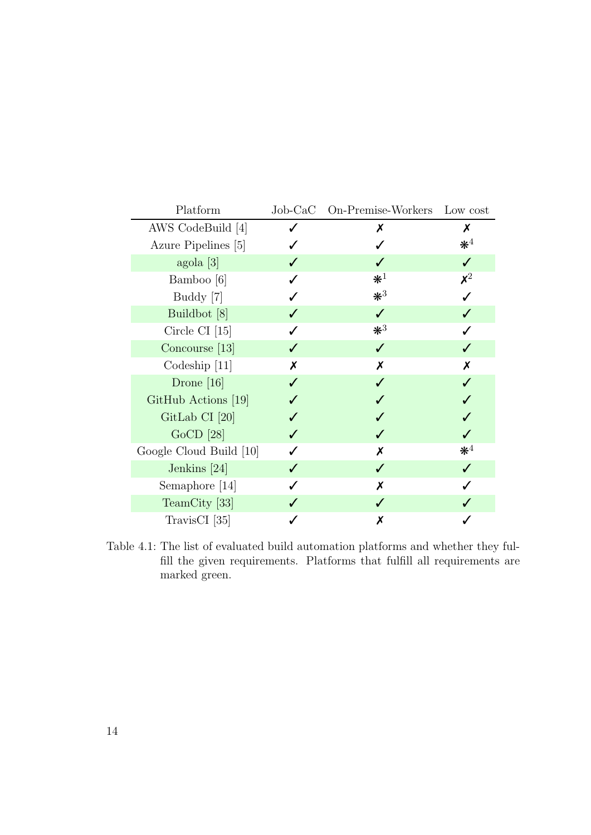| Platform                |   | Job-CaC On-Premise-Workers Low cost |                             |
|-------------------------|---|-------------------------------------|-----------------------------|
| AWS CodeBuild [4]       | Х |                                     | Х                           |
| Azure Pipelines [5]     |   |                                     | $\mathbf{\divideontimes}^4$ |
| agola [3]               |   |                                     |                             |
| Bamboo [6]              |   | $\mathbf{\divideontimes}^1$         | $\boldsymbol{\mathsf{x}}^2$ |
| Buddy [7]               |   | $*^3$                               |                             |
| Buildbot [8]            |   |                                     |                             |
| Circle CI $[15]$        |   | $*^3$                               |                             |
| Concourse $[13]$        |   | $\checkmark$                        |                             |
| Codeship $[11]$         | X | X                                   | Х                           |
| Drone $[16]$            |   |                                     |                             |
| GitHub Actions [19]     |   |                                     |                             |
| GitLab CI $[20]$        |   |                                     |                             |
| $GoCD$ [28]             |   |                                     |                             |
| Google Cloud Build [10] |   | Х                                   | $\mathbf{\divideontimes}^4$ |
| Jenkins $[24]$          |   |                                     |                             |
| Semaphore [14]          |   | Х                                   |                             |
| TeamCity [33]           |   |                                     |                             |
| TravisCI [35]           |   | Х                                   |                             |

<span id="page-16-0"></span>Table 4.1: The list of evaluated build automation platforms and whether they fulfill the given requirements. Platforms that fulfill all requirements are marked green.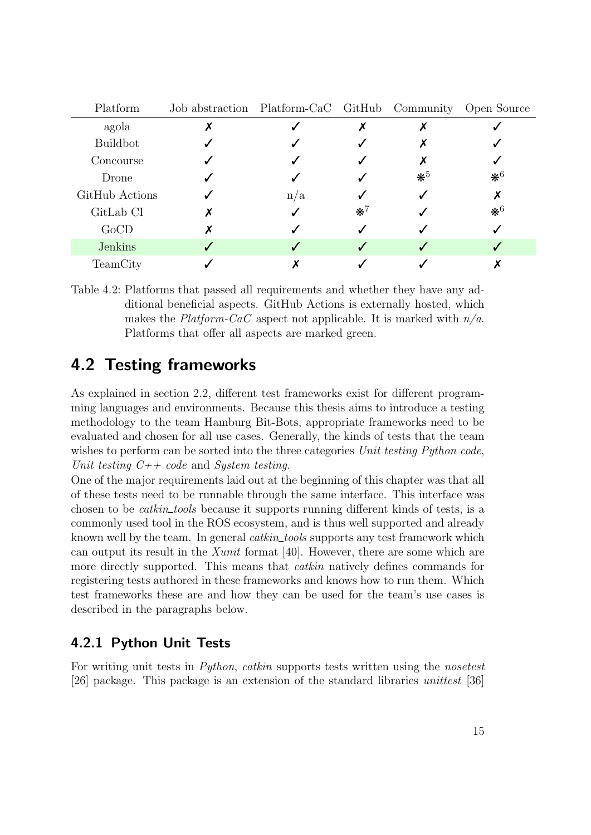| Platform        | Job abstraction Platform-CaC GitHub Community Open Source |     |       |       |              |
|-----------------|-----------------------------------------------------------|-----|-------|-------|--------------|
| agola           |                                                           |     |       |       |              |
| <b>Buildbot</b> |                                                           |     |       |       |              |
| Concourse       |                                                           |     |       |       |              |
| Drone           |                                                           |     |       | $*^5$ | $*^6$        |
| GitHub Actions  |                                                           | n/a |       |       |              |
| GitLab CI       |                                                           |     | $*^7$ |       | $\maltese^6$ |
| GoCD            |                                                           |     |       |       |              |
| <b>Jenkins</b>  |                                                           |     |       |       |              |
| TeamCity        |                                                           |     |       |       |              |

<span id="page-17-2"></span>Table 4.2: Platforms that passed all requirements and whether they have any additional beneficial aspects. GitHub Actions is externally hosted, which makes the Platform-CaC aspect not applicable. It is marked with  $n/a$ . Platforms that offer all aspects are marked green.

### <span id="page-17-0"></span>4.2 Testing frameworks

As explained in [section 2.2,](#page-6-0) different test frameworks exist for different programming languages and environments. Because this thesis aims to introduce a testing methodology to the team Hamburg Bit-Bots, appropriate frameworks need to be evaluated and chosen for all use cases. Generally, the kinds of tests that the team wishes to perform can be sorted into the three categories Unit testing Python code, Unit testing  $C++code$  and System testing.

One of the major requirements laid out at the beginning of this chapter was that all of these tests need to be runnable through the same interface. This interface was chosen to be *catkin tools* because it supports running different kinds of tests, is a commonly used tool in the ROS ecosystem, and is thus well supported and already known well by the team. In general *catkin\_tools* supports any test framework which can output its result in the Xunit format [\[40\]](#page-36-1). However, there are some which are more directly supported. This means that *catkin* natively defines commands for registering tests authored in these frameworks and knows how to run them. Which test frameworks these are and how they can be used for the team's use cases is described in the paragraphs below.

#### <span id="page-17-1"></span>4.2.1 Python Unit Tests

For writing unit tests in *Python, catkin* supports tests written using the *nosetest* [\[26\]](#page-35-6) package. This package is an extension of the standard libraries unittest [\[36\]](#page-35-5)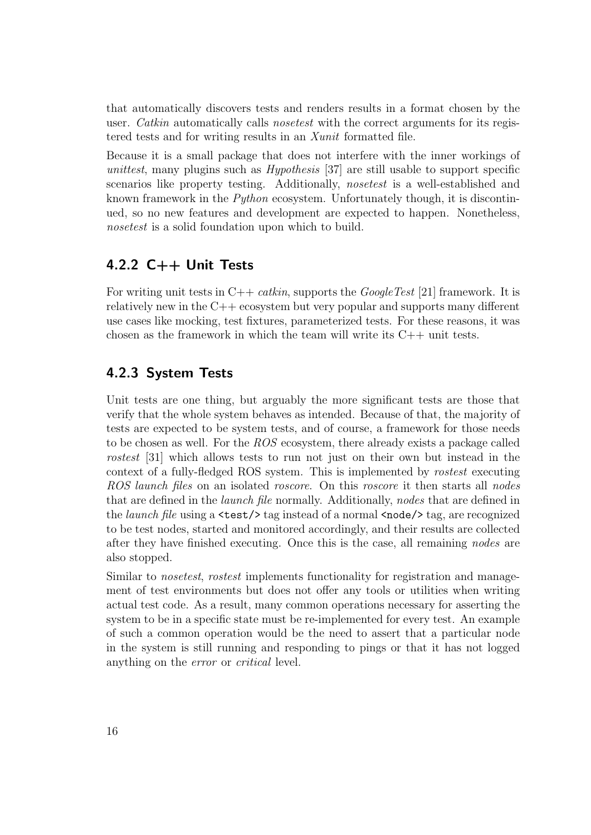that automatically discovers tests and renders results in a format chosen by the user. *Catkin* automatically calls *nosetest* with the correct arguments for its registered tests and for writing results in an Xunit formatted file.

Because it is a small package that does not interfere with the inner workings of unitest, many plugins such as *Hypothesis* [\[37\]](#page-35-1) are still usable to support specific scenarios like property testing. Additionally, nosetest is a well-established and known framework in the Python ecosystem. Unfortunately though, it is discontinued, so no new features and development are expected to happen. Nonetheless, nosetest is a solid foundation upon which to build.

#### <span id="page-18-0"></span>4.2.2 C++ Unit Tests

For writing unit tests in  $C++$  catkin, supports the *GoogleTest* [\[21\]](#page-34-16) framework. It is relatively new in the C++ ecosystem but very popular and supports many different use cases like mocking, test fixtures, parameterized tests. For these reasons, it was chosen as the framework in which the team will write its C++ unit tests.

#### <span id="page-18-1"></span>4.2.3 System Tests

Unit tests are one thing, but arguably the more significant tests are those that verify that the whole system behaves as intended. Because of that, the majority of tests are expected to be system tests, and of course, a framework for those needs to be chosen as well. For the ROS ecosystem, there already exists a package called rostest [\[31\]](#page-35-16) which allows tests to run not just on their own but instead in the context of a fully-fledged ROS system. This is implemented by rostest executing ROS launch files on an isolated roscore. On this roscore it then starts all nodes that are defined in the launch file normally. Additionally, nodes that are defined in the *launch file* using a  $\text{test/}$  tag instead of a normal  $\text{model}$  tag, are recognized to be test nodes, started and monitored accordingly, and their results are collected after they have finished executing. Once this is the case, all remaining nodes are also stopped.

Similar to *nosetest, rostest* implements functionality for registration and management of test environments but does not offer any tools or utilities when writing actual test code. As a result, many common operations necessary for asserting the system to be in a specific state must be re-implemented for every test. An example of such a common operation would be the need to assert that a particular node in the system is still running and responding to pings or that it has not logged anything on the error or critical level.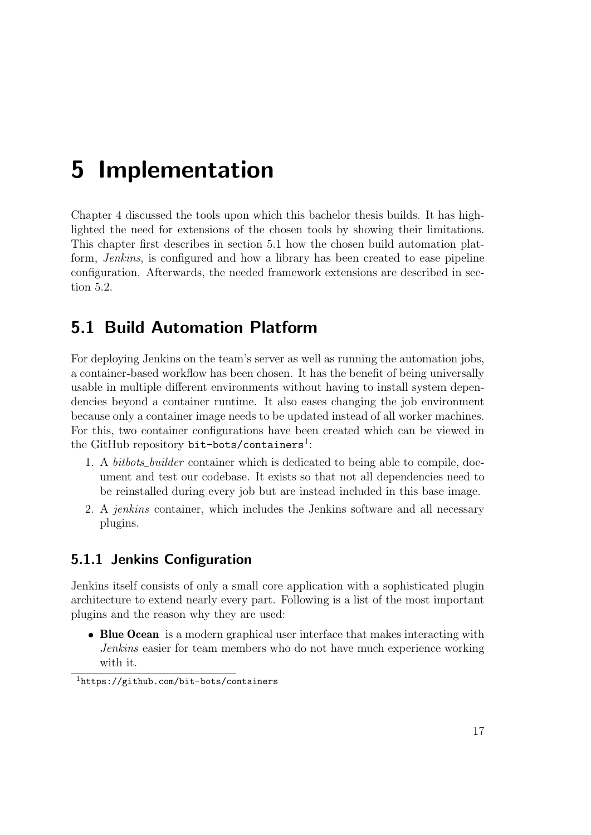# <span id="page-19-0"></span>5 Implementation

[Chapter 4](#page-12-0) discussed the tools upon which this bachelor thesis builds. It has highlighted the need for extensions of the chosen tools by showing their limitations. This chapter first describes in [section 5.1](#page-19-1) how the chosen build automation platform, Jenkins, is configured and how a library has been created to ease pipeline configuration. Afterwards, the needed framework extensions are described in [sec](#page-22-0)[tion 5.2.](#page-22-0)

## <span id="page-19-1"></span>5.1 Build Automation Platform

For deploying Jenkins on the team's server as well as running the automation jobs, a container-based workflow has been chosen. It has the benefit of being universally usable in multiple different environments without having to install system dependencies beyond a container runtime. It also eases changing the job environment because only a container image needs to be updated instead of all worker machines. For this, two container configurations have been created which can be viewed in the GitHub repository  $\texttt{bit-bots/contains}^1$  $\texttt{bit-bots/contains}^1$ :

- 1. A *bitbots\_builder* container which is dedicated to being able to compile, document and test our codebase. It exists so that not all dependencies need to be reinstalled during every job but are instead included in this base image.
- 2. A jenkins container, which includes the Jenkins software and all necessary plugins.

#### <span id="page-19-2"></span>5.1.1 Jenkins Configuration

Jenkins itself consists of only a small core application with a sophisticated plugin architecture to extend nearly every part. Following is a list of the most important plugins and the reason why they are used:

• Blue Ocean is a modern graphical user interface that makes interacting with Jenkins easier for team members who do not have much experience working with it.

<span id="page-19-3"></span><sup>1</sup><https://github.com/bit-bots/containers>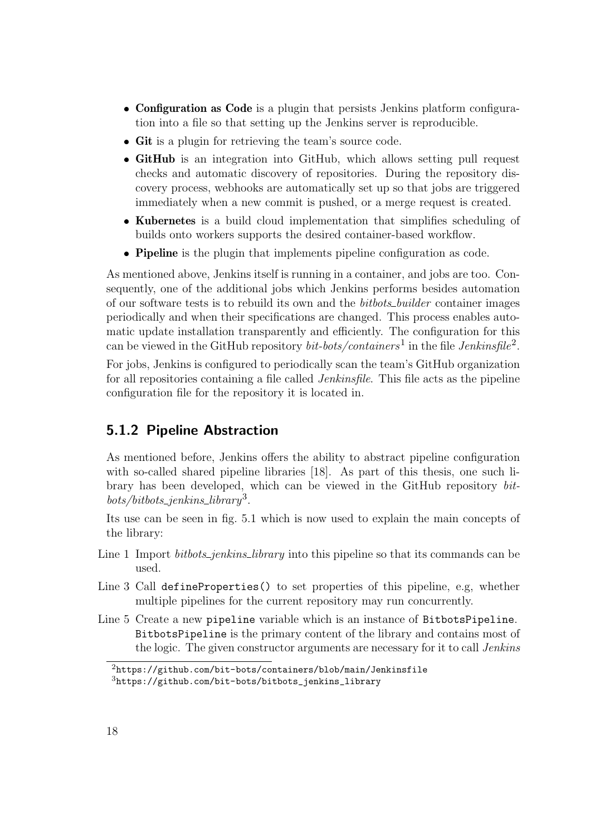- Configuration as Code is a plugin that persists Jenkins platform configuration into a file so that setting up the Jenkins server is reproducible.
- Git is a plugin for retrieving the team's source code.
- GitHub is an integration into GitHub, which allows setting pull request checks and automatic discovery of repositories. During the repository discovery process, webhooks are automatically set up so that jobs are triggered immediately when a new commit is pushed, or a merge request is created.
- Kubernetes is a build cloud implementation that simplifies scheduling of builds onto workers supports the desired container-based workflow.
- **Pipeline** is the plugin that implements pipeline configuration as code.

As mentioned above, Jenkins itself is running in a container, and jobs are too. Consequently, one of the additional jobs which Jenkins performs besides automation of our software tests is to rebuild its own and the *bitbots\_builder* container images periodically and when their specifications are changed. This process enables automatic update installation transparently and efficiently. The configuration for this can be viewed in the GitHub repository *bit-bots/containers*<sup>1</sup> in the file *Jenkinsfile*<sup>[2](#page-20-1)</sup>.

For jobs, Jenkins is configured to periodically scan the team's GitHub organization for all repositories containing a file called *Jenkinsfile*. This file acts as the pipeline configuration file for the repository it is located in.

#### <span id="page-20-0"></span>5.1.2 Pipeline Abstraction

As mentioned before, Jenkins offers the ability to abstract pipeline configuration with so-called shared pipeline libraries [\[18\]](#page-34-17). As part of this thesis, one such library has been developed, which can be viewed in the GitHub repository bit- $bots/bitbits\_jenkins\_library<sup>3</sup>$  $bots/bitbits\_jenkins\_library<sup>3</sup>$  $bots/bitbits\_jenkins\_library<sup>3</sup>$ .

Its use can be seen in [fig. 5.1](#page-22-2) which is now used to explain the main concepts of the library:

- Line 1 Import *bitbots\_jenkins\_library* into this pipeline so that its commands can be used.
- Line 3 Call defineProperties() to set properties of this pipeline, e.g, whether multiple pipelines for the current repository may run concurrently.
- Line 5 Create a new pipeline variable which is an instance of BitbotsPipeline. BitbotsPipeline is the primary content of the library and contains most of the logic. The given constructor arguments are necessary for it to call *Jenkins*

<span id="page-20-1"></span> $2$ <https://github.com/bit-bots/containers/blob/main/Jenkinsfile>

<span id="page-20-2"></span><sup>3</sup>[https://github.com/bit-bots/bitbots\\_jenkins\\_library](https://github.com/bit-bots/bitbots_jenkins_library)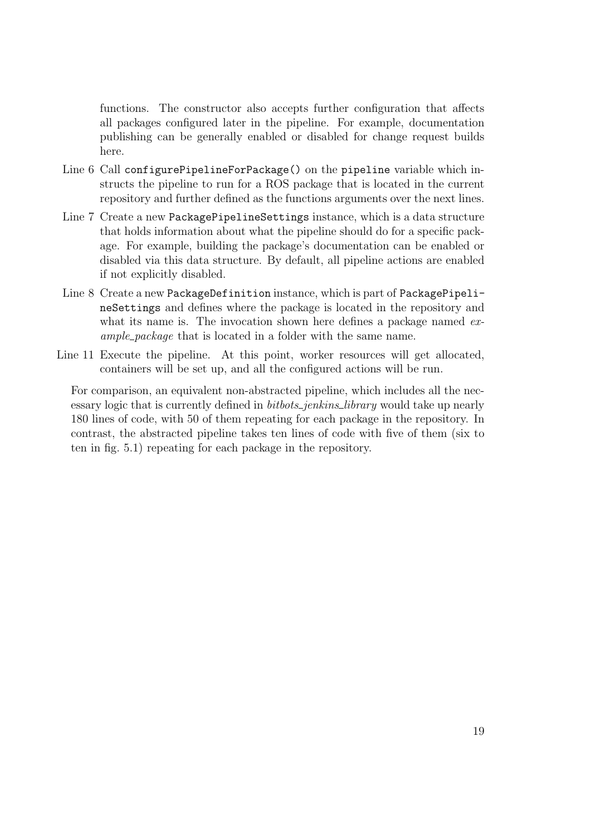functions. The constructor also accepts further configuration that affects all packages configured later in the pipeline. For example, documentation publishing can be generally enabled or disabled for change request builds here.

- Line 6 Call configurePipelineForPackage() on the pipeline variable which instructs the pipeline to run for a ROS package that is located in the current repository and further defined as the functions arguments over the next lines.
- Line 7 Create a new PackagePipelineSettings instance, which is a data structure that holds information about what the pipeline should do for a specific package. For example, building the package's documentation can be enabled or disabled via this data structure. By default, all pipeline actions are enabled if not explicitly disabled.
- Line 8 Create a new PackageDefinition instance, which is part of PackagePipelineSettings and defines where the package is located in the repository and what its name is. The invocation shown here defines a package named example package that is located in a folder with the same name.
- Line 11 Execute the pipeline. At this point, worker resources will get allocated, containers will be set up, and all the configured actions will be run.

For comparison, an equivalent non-abstracted pipeline, which includes all the necessary logic that is currently defined in *bitbots\_jenkins\_library* would take up nearly 180 lines of code, with 50 of them repeating for each package in the repository. In contrast, the abstracted pipeline takes ten lines of code with five of them (six to ten in [fig. 5.1\)](#page-22-2) repeating for each package in the repository.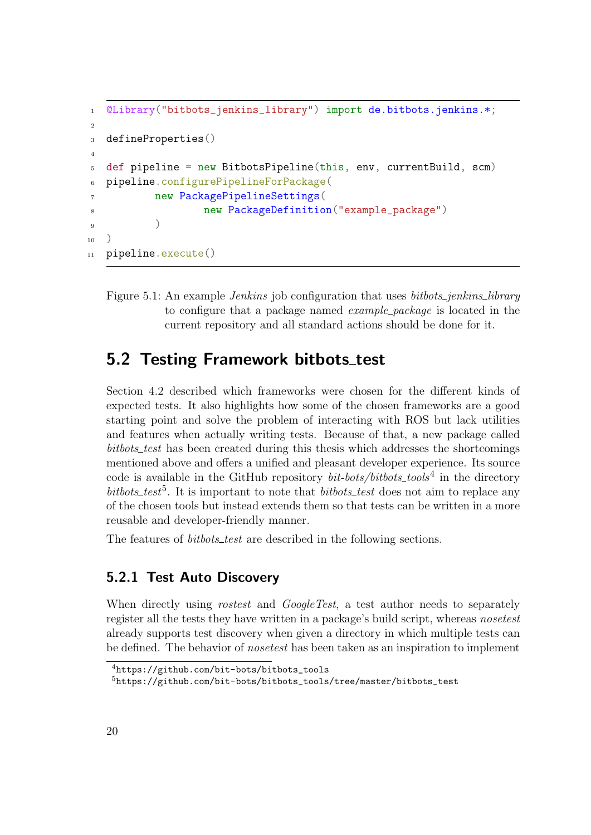```
1 @Library("bitbots_jenkins_library") import de.bitbots.jenkins.*;
2
3 defineProperties()
4
5 def pipeline = new BitbotsPipeline(this, env, currentBuild, scm)
6 pipeline.configurePipelineForPackage(
7 new PackagePipelineSettings(
8 new PackageDefinition("example_package")
9 )
_{10} )
11 pipeline.execute()
```
<span id="page-22-2"></span>Figure 5.1: An example *Jenkins* job configuration that uses *bitbots\_jenkins\_library* to configure that a package named *example\_package* is located in the current repository and all standard actions should be done for it.

### <span id="page-22-0"></span>5.2 Testing Framework bitbots\_test

[Section 4.2](#page-17-0) described which frameworks were chosen for the different kinds of expected tests. It also highlights how some of the chosen frameworks are a good starting point and solve the problem of interacting with ROS but lack utilities and features when actually writing tests. Because of that, a new package called bitbots\_test has been created during this thesis which addresses the shortcomings mentioned above and offers a unified and pleasant developer experience. Its source code is available in the GitHub repository  $bit-bots/bitbots\_tools<sup>4</sup>$  $bit-bots/bitbots\_tools<sup>4</sup>$  $bit-bots/bitbots\_tools<sup>4</sup>$  in the directory bitbots\_test<sup>[5](#page-22-4)</sup>. It is important to note that *bitbots\_test* does not aim to replace any of the chosen tools but instead extends them so that tests can be written in a more reusable and developer-friendly manner.

The features of *bitbots\_test* are described in the following sections.

#### <span id="page-22-1"></span>5.2.1 Test Auto Discovery

When directly using *rostest* and *GoogleTest*, a test author needs to separately register all the tests they have written in a package's build script, whereas nosetest already supports test discovery when given a directory in which multiple tests can be defined. The behavior of *nosetest* has been taken as an inspiration to implement

<span id="page-22-3"></span><sup>4</sup>[https://github.com/bit-bots/bitbots\\_tools](https://github.com/bit-bots/bitbots_tools)

<span id="page-22-4"></span><sup>5</sup>[https://github.com/bit-bots/bitbots\\_tools/tree/master/bitbots\\_test](https://github.com/bit-bots/bitbots_tools/tree/master/bitbots_test)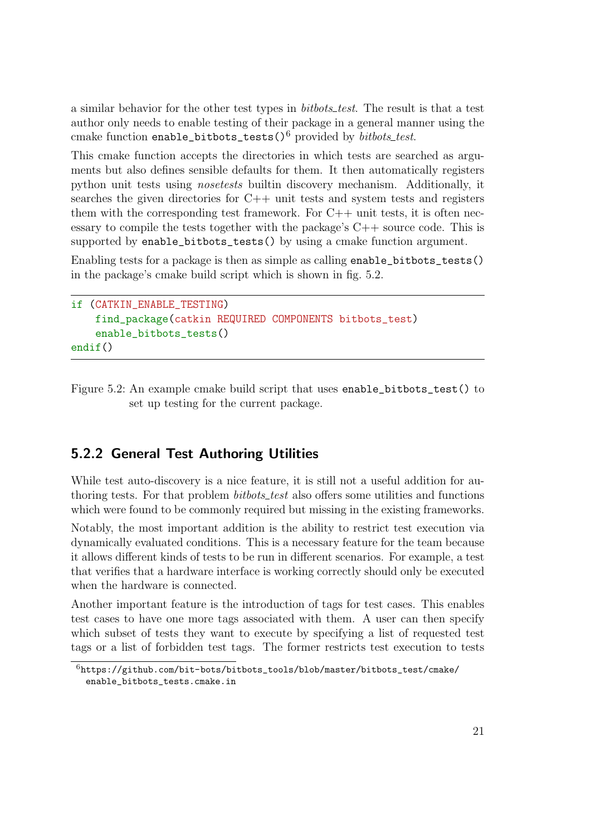a similar behavior for the other test types in *bitbots\_test*. The result is that a test author only needs to enable testing of their package in a general manner using the cmake function enable\_bitbots\_tests()<sup>[6](#page-23-1)</sup> provided by *bitbots\_test*.

This cmake function accepts the directories in which tests are searched as arguments but also defines sensible defaults for them. It then automatically registers python unit tests using nosetests builtin discovery mechanism. Additionally, it searches the given directories for C++ unit tests and system tests and registers them with the corresponding test framework. For  $C++$  unit tests, it is often necessary to compile the tests together with the package's  $C++$  source code. This is supported by enable\_bitbots\_tests() by using a cmake function argument.

Enabling tests for a package is then as simple as calling enable\_bitbots\_tests() in the package's cmake build script which is shown in [fig. 5.2.](#page-23-2)

```
if (CATKIN_ENABLE_TESTING)
    find_package(catkin REQUIRED COMPONENTS bitbots_test)
    enable_bitbots_tests()
endif()
```
<span id="page-23-2"></span>Figure 5.2: An example cmake build script that uses enable\_bitbots\_test() to set up testing for the current package.

#### <span id="page-23-0"></span>5.2.2 General Test Authoring Utilities

While test auto-discovery is a nice feature, it is still not a useful addition for authoring tests. For that problem *bitbots\_test* also offers some utilities and functions which were found to be commonly required but missing in the existing frameworks.

Notably, the most important addition is the ability to restrict test execution via dynamically evaluated conditions. This is a necessary feature for the team because it allows different kinds of tests to be run in different scenarios. For example, a test that verifies that a hardware interface is working correctly should only be executed when the hardware is connected.

Another important feature is the introduction of tags for test cases. This enables test cases to have one more tags associated with them. A user can then specify which subset of tests they want to execute by specifying a list of requested test tags or a list of forbidden test tags. The former restricts test execution to tests

<span id="page-23-1"></span> $^6$ [https://github.com/bit-bots/bitbots\\_tools/blob/master/bitbots\\_test/cmake/](https://github.com/bit-bots/bitbots_tools/blob/master/bitbots_test/cmake/enable_bitbots_tests.cmake.in) [enable\\_bitbots\\_tests.cmake.in](https://github.com/bit-bots/bitbots_tools/blob/master/bitbots_test/cmake/enable_bitbots_tests.cmake.in)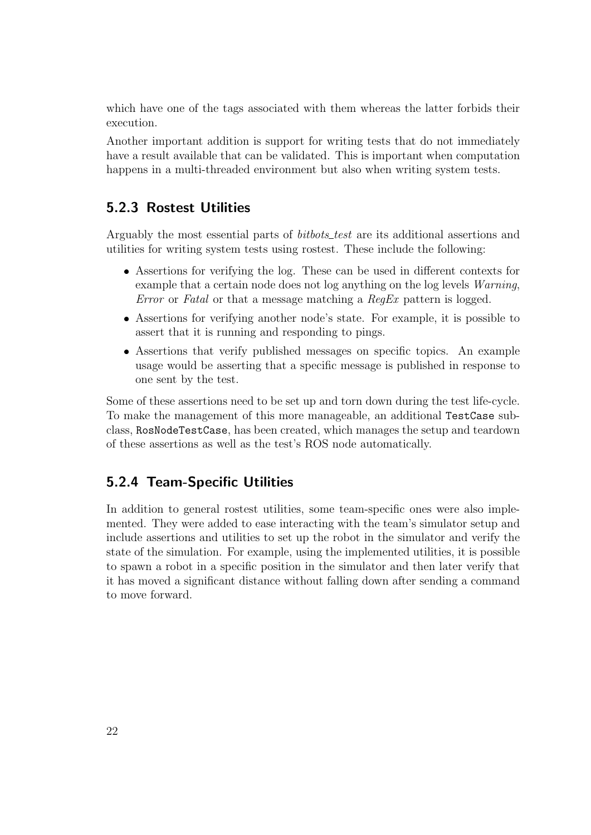which have one of the tags associated with them whereas the latter forbids their execution.

Another important addition is support for writing tests that do not immediately have a result available that can be validated. This is important when computation happens in a multi-threaded environment but also when writing system tests.

#### <span id="page-24-0"></span>5.2.3 Rostest Utilities

Arguably the most essential parts of *bitbots\_test* are its additional assertions and utilities for writing system tests using rostest. These include the following:

- Assertions for verifying the log. These can be used in different contexts for example that a certain node does not log anything on the log levels *Warning*, Error or Fatal or that a message matching a RegEx pattern is logged.
- Assertions for verifying another node's state. For example, it is possible to assert that it is running and responding to pings.
- Assertions that verify published messages on specific topics. An example usage would be asserting that a specific message is published in response to one sent by the test.

Some of these assertions need to be set up and torn down during the test life-cycle. To make the management of this more manageable, an additional TestCase subclass, RosNodeTestCase, has been created, which manages the setup and teardown of these assertions as well as the test's ROS node automatically.

#### <span id="page-24-1"></span>5.2.4 Team-Specific Utilities

In addition to general rostest utilities, some team-specific ones were also implemented. They were added to ease interacting with the team's simulator setup and include assertions and utilities to set up the robot in the simulator and verify the state of the simulation. For example, using the implemented utilities, it is possible to spawn a robot in a specific position in the simulator and then later verify that it has moved a significant distance without falling down after sending a command to move forward.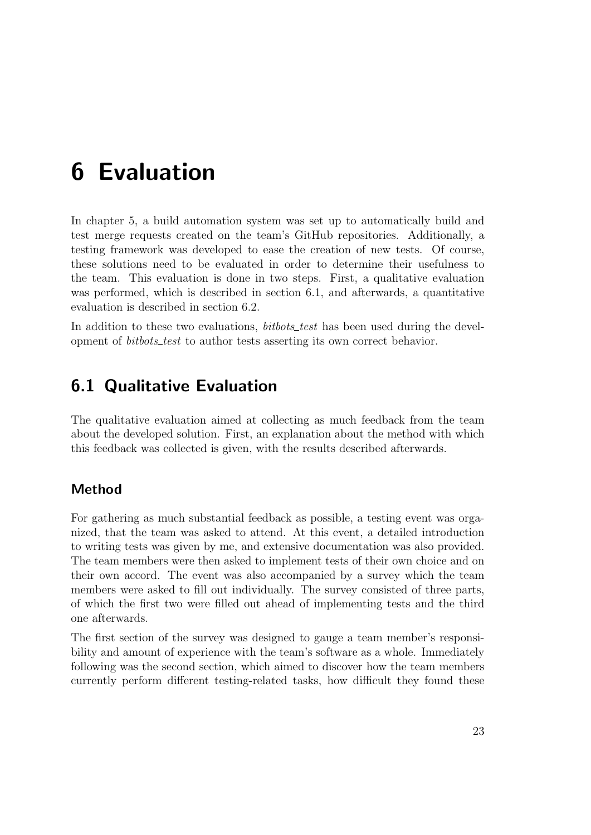# <span id="page-25-0"></span>6 Evaluation

In [chapter 5,](#page-19-0) a build automation system was set up to automatically build and test merge requests created on the team's GitHub repositories. Additionally, a testing framework was developed to ease the creation of new tests. Of course, these solutions need to be evaluated in order to determine their usefulness to the team. This evaluation is done in two steps. First, a qualitative evaluation was performed, which is described in [section 6.1,](#page-25-1) and afterwards, a quantitative evaluation is described in [section 6.2.](#page-26-0)

In addition to these two evaluations, *bitbots\_test* has been used during the development of *bitbots\_test* to author tests asserting its own correct behavior.

### <span id="page-25-1"></span>6.1 Qualitative Evaluation

The qualitative evaluation aimed at collecting as much feedback from the team about the developed solution. First, an explanation about the method with which this feedback was collected is given, with the results described afterwards.

#### Method

For gathering as much substantial feedback as possible, a testing event was organized, that the team was asked to attend. At this event, a detailed introduction to writing tests was given by me, and extensive documentation was also provided. The team members were then asked to implement tests of their own choice and on their own accord. The event was also accompanied by a survey which the team members were asked to fill out individually. The survey consisted of three parts, of which the first two were filled out ahead of implementing tests and the third one afterwards.

The first section of the survey was designed to gauge a team member's responsibility and amount of experience with the team's software as a whole. Immediately following was the second section, which aimed to discover how the team members currently perform different testing-related tasks, how difficult they found these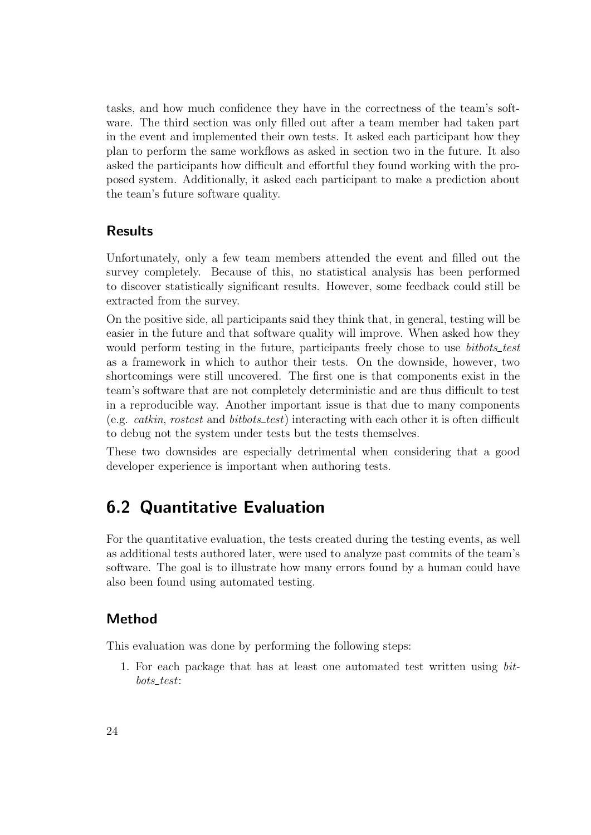tasks, and how much confidence they have in the correctness of the team's software. The third section was only filled out after a team member had taken part in the event and implemented their own tests. It asked each participant how they plan to perform the same workflows as asked in section two in the future. It also asked the participants how difficult and effortful they found working with the proposed system. Additionally, it asked each participant to make a prediction about the team's future software quality.

#### Results

Unfortunately, only a few team members attended the event and filled out the survey completely. Because of this, no statistical analysis has been performed to discover statistically significant results. However, some feedback could still be extracted from the survey.

On the positive side, all participants said they think that, in general, testing will be easier in the future and that software quality will improve. When asked how they would perform testing in the future, participants freely chose to use *bitbots\_test* as a framework in which to author their tests. On the downside, however, two shortcomings were still uncovered. The first one is that components exist in the team's software that are not completely deterministic and are thus difficult to test in a reproducible way. Another important issue is that due to many components (e.g. *catkin, rostest* and *bitbots\_test*) interacting with each other it is often difficult to debug not the system under tests but the tests themselves.

These two downsides are especially detrimental when considering that a good developer experience is important when authoring tests.

## <span id="page-26-0"></span>6.2 Quantitative Evaluation

For the quantitative evaluation, the tests created during the testing events, as well as additional tests authored later, were used to analyze past commits of the team's software. The goal is to illustrate how many errors found by a human could have also been found using automated testing.

#### Method

This evaluation was done by performing the following steps:

1. For each package that has at least one automated test written using bit $bots\_test$ :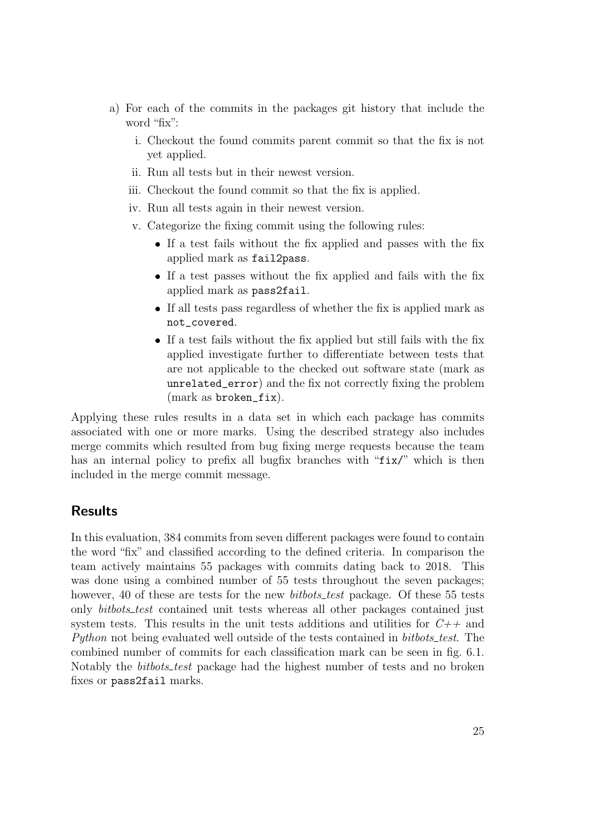- a) For each of the commits in the packages git history that include the word "fix":
	- i. Checkout the found commits parent commit so that the fix is not yet applied.
	- ii. Run all tests but in their newest version.
	- iii. Checkout the found commit so that the fix is applied.
	- iv. Run all tests again in their newest version.
	- v. Categorize the fixing commit using the following rules:
		- If a test fails without the fix applied and passes with the fix applied mark as fail2pass.
		- If a test passes without the fix applied and fails with the fix applied mark as pass2fail.
		- If all tests pass regardless of whether the fix is applied mark as not\_covered.
		- If a test fails without the fix applied but still fails with the fix applied investigate further to differentiate between tests that are not applicable to the checked out software state (mark as unrelated\_error) and the fix not correctly fixing the problem (mark as broken\_fix).

Applying these rules results in a data set in which each package has commits associated with one or more marks. Using the described strategy also includes merge commits which resulted from bug fixing merge requests because the team has an internal policy to prefix all bugfix branches with "fix/" which is then included in the merge commit message.

#### Results

In this evaluation, 384 commits from seven different packages were found to contain the word "fix" and classified according to the defined criteria. In comparison the team actively maintains 55 packages with commits dating back to 2018. This was done using a combined number of 55 tests throughout the seven packages; however, 40 of these are tests for the new *bitbots\_test* package. Of these 55 tests only *bitbots\_test* contained unit tests whereas all other packages contained just system tests. This results in the unit tests additions and utilities for  $C++$  and Python not being evaluated well outside of the tests contained in bitbots\_test. The combined number of commits for each classification mark can be seen in [fig. 6.1.](#page-28-0) Notably the *bitbots\_test* package had the highest number of tests and no broken fixes or pass2fail marks.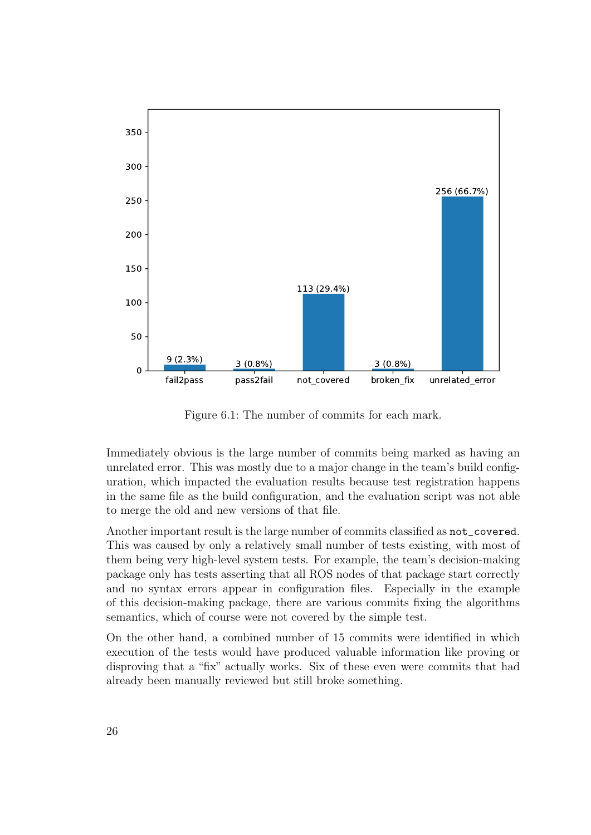

<span id="page-28-0"></span>Figure 6.1: The number of commits for each mark.

Immediately obvious is the large number of commits being marked as having an unrelated error. This was mostly due to a major change in the team's build configuration, which impacted the evaluation results because test registration happens in the same file as the build configuration, and the evaluation script was not able to merge the old and new versions of that file.

Another important result is the large number of commits classified as not\_covered. This was caused by only a relatively small number of tests existing, with most of them being very high-level system tests. For example, the team's decision-making package only has tests asserting that all ROS nodes of that package start correctly and no syntax errors appear in configuration files. Especially in the example of this decision-making package, there are various commits fixing the algorithms semantics, which of course were not covered by the simple test.

On the other hand, a combined number of 15 commits were identified in which execution of the tests would have produced valuable information like proving or disproving that a "fix" actually works. Six of these even were commits that had already been manually reviewed but still broke something.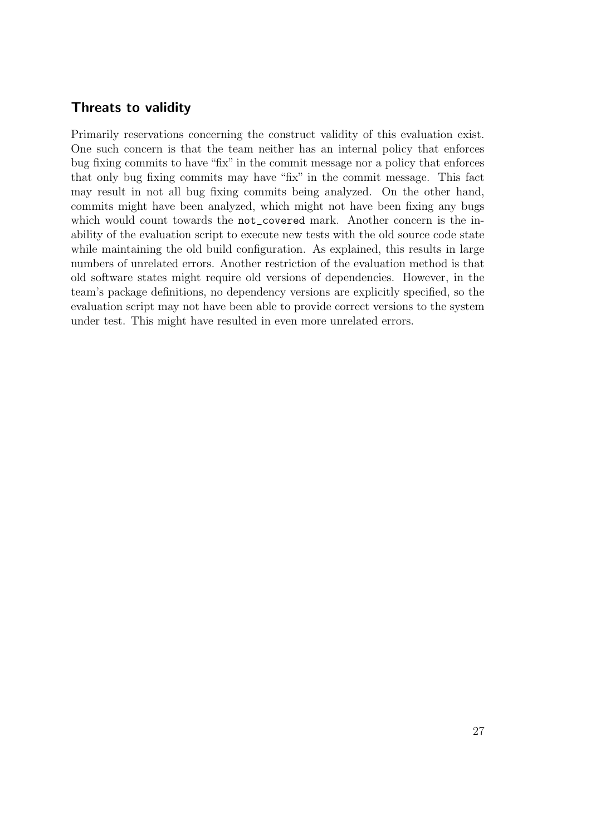#### Threats to validity

Primarily reservations concerning the construct validity of this evaluation exist. One such concern is that the team neither has an internal policy that enforces bug fixing commits to have "fix" in the commit message nor a policy that enforces that only bug fixing commits may have "fix" in the commit message. This fact may result in not all bug fixing commits being analyzed. On the other hand, commits might have been analyzed, which might not have been fixing any bugs which would count towards the not\_covered mark. Another concern is the inability of the evaluation script to execute new tests with the old source code state while maintaining the old build configuration. As explained, this results in large numbers of unrelated errors. Another restriction of the evaluation method is that old software states might require old versions of dependencies. However, in the team's package definitions, no dependency versions are explicitly specified, so the evaluation script may not have been able to provide correct versions to the system under test. This might have resulted in even more unrelated errors.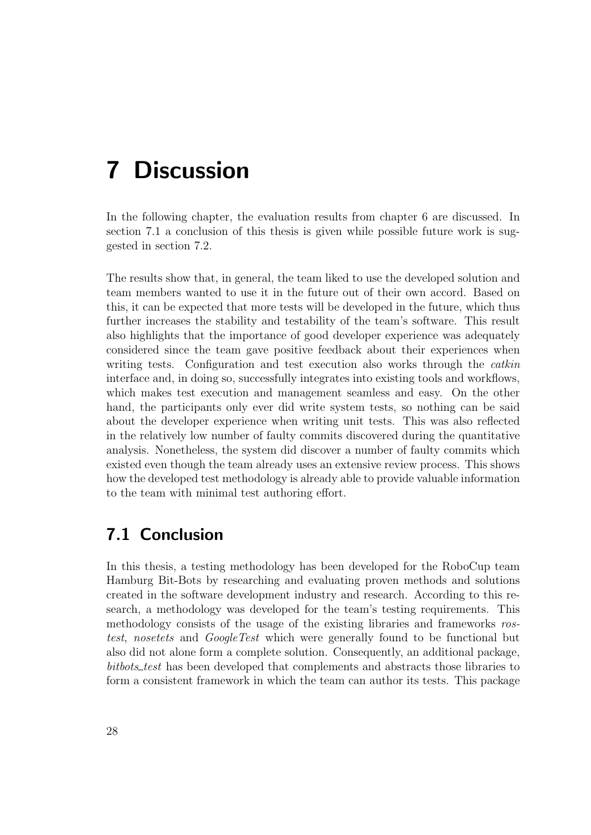# <span id="page-30-0"></span>7 Discussion

In the following chapter, the evaluation results from [chapter 6](#page-25-0) are discussed. In [section 7.1](#page-30-1) a conclusion of this thesis is given while possible future work is suggested in [section 7.2.](#page-31-0)

The results show that, in general, the team liked to use the developed solution and team members wanted to use it in the future out of their own accord. Based on this, it can be expected that more tests will be developed in the future, which thus further increases the stability and testability of the team's software. This result also highlights that the importance of good developer experience was adequately considered since the team gave positive feedback about their experiences when writing tests. Configuration and test execution also works through the *catkin* interface and, in doing so, successfully integrates into existing tools and workflows, which makes test execution and management seamless and easy. On the other hand, the participants only ever did write system tests, so nothing can be said about the developer experience when writing unit tests. This was also reflected in the relatively low number of faulty commits discovered during the quantitative analysis. Nonetheless, the system did discover a number of faulty commits which existed even though the team already uses an extensive review process. This shows how the developed test methodology is already able to provide valuable information to the team with minimal test authoring effort.

### <span id="page-30-1"></span>7.1 Conclusion

In this thesis, a testing methodology has been developed for the RoboCup team Hamburg Bit-Bots by researching and evaluating proven methods and solutions created in the software development industry and research. According to this research, a methodology was developed for the team's testing requirements. This methodology consists of the usage of the existing libraries and frameworks rostest, nosetets and GoogleTest which were generally found to be functional but also did not alone form a complete solution. Consequently, an additional package, bitbots\_test has been developed that complements and abstracts those libraries to form a consistent framework in which the team can author its tests. This package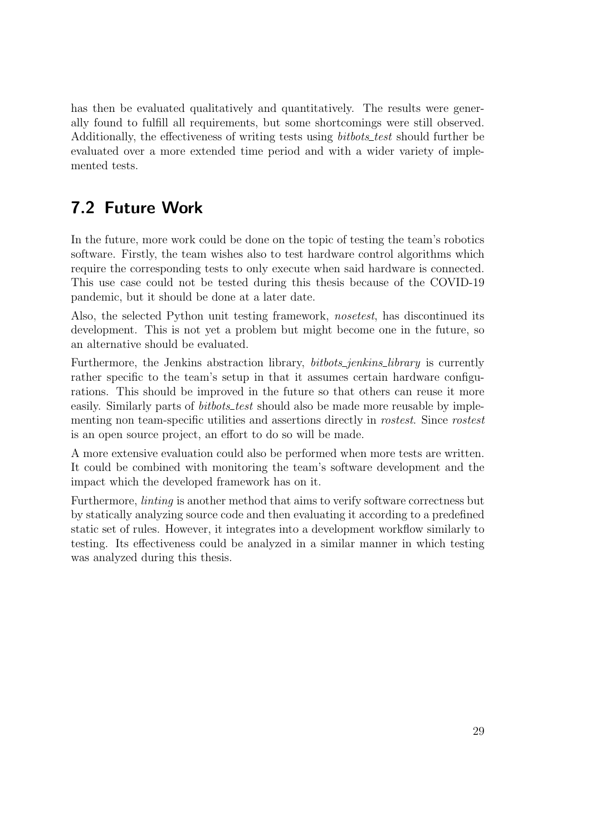has then be evaluated qualitatively and quantitatively. The results were generally found to fulfill all requirements, but some shortcomings were still observed. Additionally, the effectiveness of writing tests using *bitbots\_test* should further be evaluated over a more extended time period and with a wider variety of implemented tests.

## <span id="page-31-0"></span>7.2 Future Work

In the future, more work could be done on the topic of testing the team's robotics software. Firstly, the team wishes also to test hardware control algorithms which require the corresponding tests to only execute when said hardware is connected. This use case could not be tested during this thesis because of the COVID-19 pandemic, but it should be done at a later date.

Also, the selected Python unit testing framework, nosetest, has discontinued its development. This is not yet a problem but might become one in the future, so an alternative should be evaluated.

Furthermore, the Jenkins abstraction library, *bitbots\_jenkins\_library* is currently rather specific to the team's setup in that it assumes certain hardware configurations. This should be improved in the future so that others can reuse it more easily. Similarly parts of *bitbots\_test* should also be made more reusable by implementing non team-specific utilities and assertions directly in rostest. Since rostest is an open source project, an effort to do so will be made.

A more extensive evaluation could also be performed when more tests are written. It could be combined with monitoring the team's software development and the impact which the developed framework has on it.

Furthermore, linting is another method that aims to verify software correctness but by statically analyzing source code and then evaluating it according to a predefined static set of rules. However, it integrates into a development workflow similarly to testing. Its effectiveness could be analyzed in a similar manner in which testing was analyzed during this thesis.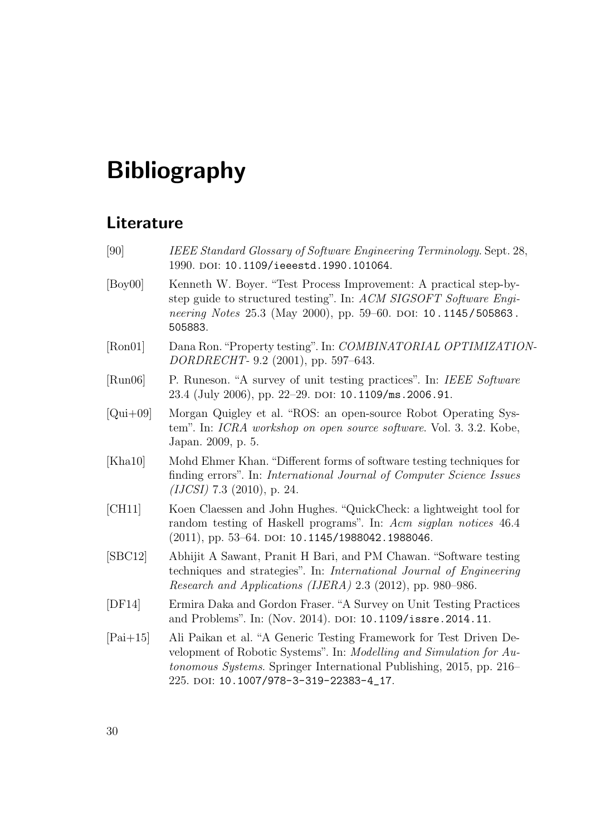# Bibliography

### Literature

<span id="page-32-9"></span><span id="page-32-8"></span><span id="page-32-7"></span><span id="page-32-6"></span><span id="page-32-5"></span><span id="page-32-4"></span><span id="page-32-3"></span><span id="page-32-2"></span><span id="page-32-1"></span><span id="page-32-0"></span>[90] IEEE Standard Glossary of Software Engineering Terminology. Sept. 28, 1990. DOI: [10.1109/ieeestd.1990.101064](https://doi.org/10.1109/ieeestd.1990.101064). [Boy00] Kenneth W. Boyer. "Test Process Improvement: A practical step-bystep guide to structured testing". In: ACM SIGSOFT Software Engi-neering Notes 25.3 (May 2000), pp. 59–60. DOI: [10.1145/505863.](https://doi.org/10.1145/505863.505883) [505883](https://doi.org/10.1145/505863.505883). [Ron01] Dana Ron."Property testing". In: COMBINATORIAL OPTIMIZATION-DORDRECHT- 9.2 (2001), pp. 597–643. [Run06] P. Runeson. "A survey of unit testing practices". In: IEEE Software 23.4 (July 2006), pp. 22-29. DOI: [10.1109/ms.2006.91](https://doi.org/10.1109/ms.2006.91). [Qui+09] Morgan Quigley et al. "ROS: an open-source Robot Operating System". In: ICRA workshop on open source software. Vol. 3. 3.2. Kobe, Japan. 2009, p. 5. [Kha10] Mohd Ehmer Khan. "Different forms of software testing techniques for finding errors". In: International Journal of Computer Science Issues (IJCSI) 7.3 (2010), p. 24. [CH11] Koen Claessen and John Hughes. "QuickCheck: a lightweight tool for random testing of Haskell programs". In: Acm sigplan notices 46.4  $(2011)$ , pp. 53–64. doi: [10.1145/1988042.1988046](https://doi.org/10.1145/1988042.1988046). [SBC12] Abhijit A Sawant, Pranit H Bari, and PM Chawan. "Software testing techniques and strategies". In: International Journal of Engineering Research and Applications (IJERA) 2.3 (2012), pp. 980–986. [DF14] Ermira Daka and Gordon Fraser. "A Survey on Unit Testing Practices and Problems". In: (Nov. 2014). DOI: [10.1109/issre.2014.11](https://doi.org/10.1109/issre.2014.11). [Pai+15] Ali Paikan et al. "A Generic Testing Framework for Test Driven Development of Robotic Systems". In: Modelling and Simulation for Autonomous Systems. Springer International Publishing, 2015, pp. 216– 225. doi: [10.1007/978-3-319-22383-4\\_17](https://doi.org/10.1007/978-3-319-22383-4_17).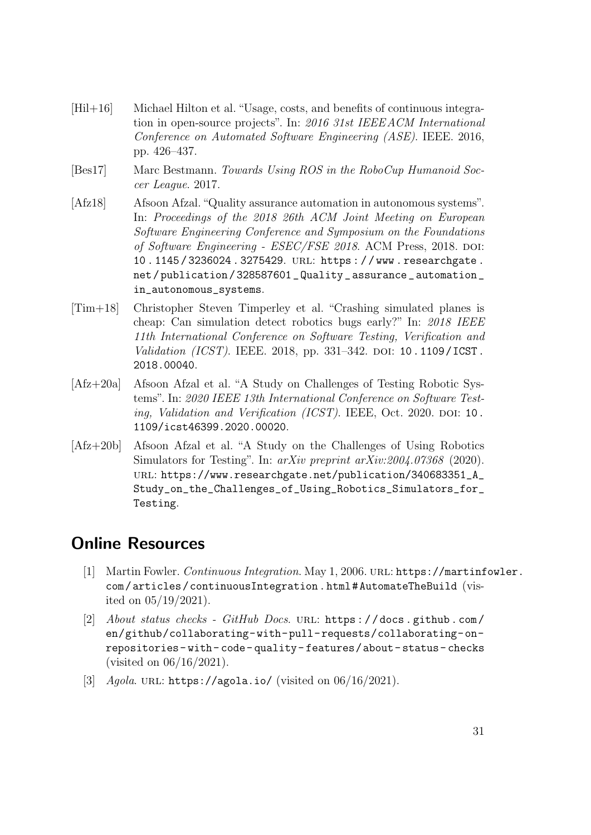- <span id="page-33-6"></span>[Hil+16] Michael Hilton et al. "Usage, costs, and benefits of continuous integration in open-source projects". In: 2016 31st IEEE ACM International Conference on Automated Software Engineering (ASE). IEEE. 2016, pp. 426–437.
- <span id="page-33-0"></span>[Bes17] Marc Bestmann. Towards Using ROS in the RoboCup Humanoid Soccer League. 2017.
- <span id="page-33-2"></span>[Afz18] Afsoon Afzal."Quality assurance automation in autonomous systems". In: Proceedings of the 2018 26th ACM Joint Meeting on European Software Engineering Conference and Symposium on the Foundations of Software Engineering - ESEC/FSE 2018. ACM Press, 2018. DOI: [10 . 1145 / 3236024 . 3275429](https://doi.org/10.1145/3236024.3275429). url: [https : / / www . researchgate .](https://www.researchgate.net/publication/328587601_Quality_assurance_automation_in_autonomous_systems) [net / publication / 328587601 \\_ Quality \\_ assurance \\_ automation \\_](https://www.researchgate.net/publication/328587601_Quality_assurance_automation_in_autonomous_systems) [in\\_autonomous\\_systems](https://www.researchgate.net/publication/328587601_Quality_assurance_automation_in_autonomous_systems).
- <span id="page-33-5"></span>[Tim+18] Christopher Steven Timperley et al. "Crashing simulated planes is cheap: Can simulation detect robotics bugs early?" In: 2018 IEEE 11th International Conference on Software Testing, Verification and Validation (ICST). IEEE. 2018, pp. 331–342. DOI: [10.1109/ICST.](https://doi.org/10.1109/ICST.2018.00040) [2018.00040](https://doi.org/10.1109/ICST.2018.00040).
- <span id="page-33-3"></span>[Afz+20a] Afsoon Afzal et al. "A Study on Challenges of Testing Robotic Systems". In: 2020 IEEE 13th International Conference on Software Testing, Validation and Verification  $(ICST)$ . IEEE, Oct. 2020. DOI: [10.](https://doi.org/10.1109/icst46399.2020.00020) [1109/icst46399.2020.00020](https://doi.org/10.1109/icst46399.2020.00020).
- <span id="page-33-4"></span>[Afz+20b] Afsoon Afzal et al. "A Study on the Challenges of Using Robotics Simulators for Testing". In: arXiv preprint arXiv:2004.07368 (2020). url: [https://www.researchgate.net/publication/340683351\\_A\\_](https://www.researchgate.net/publication/340683351_A_Study_on_the_Challenges_of_Using_Robotics_Simulators_for_Testing) [Study\\_on\\_the\\_Challenges\\_of\\_Using\\_Robotics\\_Simulators\\_for\\_](https://www.researchgate.net/publication/340683351_A_Study_on_the_Challenges_of_Using_Robotics_Simulators_for_Testing) [Testing](https://www.researchgate.net/publication/340683351_A_Study_on_the_Challenges_of_Using_Robotics_Simulators_for_Testing).

## Online Resources

- <span id="page-33-1"></span>[1] Martin Fowler. Continuous Integration. May 1, 2006. URL: [https://martinf](https://martinfowler.com/articles/continuousIntegration.html#AutomateTheBuild)owler. [com / articles / continuousIntegration . html # AutomateTheBuild](https://martinfowler.com/articles/continuousIntegration.html#AutomateTheBuild) (visited on 05/19/2021).
- <span id="page-33-7"></span>[2] About status checks - GitHub Docs. URL: https://docs.github.com/ [en/github/collaborating-with-pull-requests/collaborating-on](https://docs.github.com/en/github/collaborating-with-pull-requests/collaborating-on-repositories-with-code-quality-features/about-status-checks)[repositories- with- code- quality- features/about- status- checks](https://docs.github.com/en/github/collaborating-with-pull-requests/collaborating-on-repositories-with-code-quality-features/about-status-checks) (visited on 06/16/2021).
- <span id="page-33-8"></span>[3]  $Aqola$ . URL: <https://agola.io/> (visited on  $06/16/2021$ ).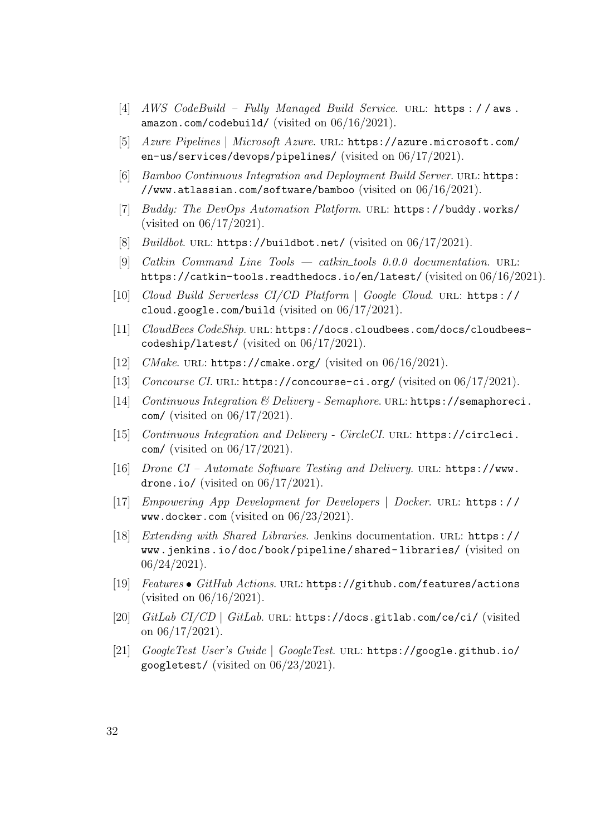- <span id="page-34-3"></span>[4] AWS CodeBuild – Fully Managed Build Service. URL: https://aws. [amazon.com/codebuild/](https://aws.amazon.com/codebuild/) (visited on 06/16/2021).
- <span id="page-34-4"></span>[5] Azure Pipelines | Microsoft Azure. url: [https://azure.microsoft.com/](https://azure.microsoft.com/en-us/services/devops/pipelines/) [en-us/services/devops/pipelines/](https://azure.microsoft.com/en-us/services/devops/pipelines/) (visited on 06/17/2021).
- <span id="page-34-5"></span>[6] Bamboo Continuous Integration and Deployment Build Server. URL: [https:](https://www.atlassian.com/software/bamboo) [//www.atlassian.com/software/bamboo](https://www.atlassian.com/software/bamboo) (visited on 06/16/2021).
- <span id="page-34-6"></span>[7] Buddy: The DevOps Automation Platform. url: <https://buddy.works/> (visited on 06/17/2021).
- <span id="page-34-7"></span>[8] Buildbot. URL: <https://buildbot.net/> (visited on 06/17/2021).
- <span id="page-34-1"></span>[9] Catkin Command Line Tools — catkin tools 0.0.0 documentation. url: <https://catkin-tools.readthedocs.io/en/latest/> (visited on 06/16/2021).
- <span id="page-34-14"></span>[10] Cloud Build Serverless CI/CD Platform | Google Cloud. url: [https://](https://cloud.google.com/build) [cloud.google.com/build](https://cloud.google.com/build) (visited on 06/17/2021).
- <span id="page-34-10"></span>[11] CloudBees CodeShip. url: [https://docs.cloudbees.com/docs/cloudbees](https://docs.cloudbees.com/docs/cloudbees-codeship/latest/)[codeship/latest/](https://docs.cloudbees.com/docs/cloudbees-codeship/latest/) (visited on 06/17/2021).
- <span id="page-34-0"></span>[12]  $CMake$ . URL: <https://cmake.org/> (visited on  $06/16/2021$ ).
- <span id="page-34-9"></span>[13] Concourse CI. URL: <https://concourse-ci.org/> (visited on 06/17/2021).
- <span id="page-34-15"></span>[14] Continuous Integration & Delivery - Semaphore. url: [https://semaphoreci](https://semaphoreci.com/). [com/](https://semaphoreci.com/) (visited on 06/17/2021).
- <span id="page-34-8"></span>[15] Continuous Integration and Delivery - CircleCI. URL: [https://circleci.](https://circleci.com/) [com/](https://circleci.com/) (visited on 06/17/2021).
- <span id="page-34-11"></span>[16] Drone CI – Automate Software Testing and Delivery. URL: [https://www.](https://www.drone.io/) [drone.io/](https://www.drone.io/) (visited on  $06/17/2021$ ).
- <span id="page-34-2"></span>[17] Empowering App Development for Developers | Docker. url: [https : / /](https://www.docker.com) [www.docker.com](https://www.docker.com) (visited on 06/23/2021).
- <span id="page-34-17"></span>[18] Extending with Shared Libraries. Jenkins documentation. URL: [https://](https://www.jenkins.io/doc/book/pipeline/shared-libraries/) [www.jenkins.io/doc/book/pipeline/shared- libraries/](https://www.jenkins.io/doc/book/pipeline/shared-libraries/) (visited on  $06/24/2021$ .
- <span id="page-34-12"></span>[19] Features GitHub Actions. url: <https://github.com/features/actions> (visited on 06/16/2021).
- <span id="page-34-13"></span>[20] GitLab CI/CD | GitLab. url: <https://docs.gitlab.com/ce/ci/> (visited on 06/17/2021).
- <span id="page-34-16"></span>[21] GoogleTest User's Guide | GoogleTest. url: [https://google.github.io/](https://google.github.io/googletest/) [googletest/](https://google.github.io/googletest/) (visited on 06/23/2021).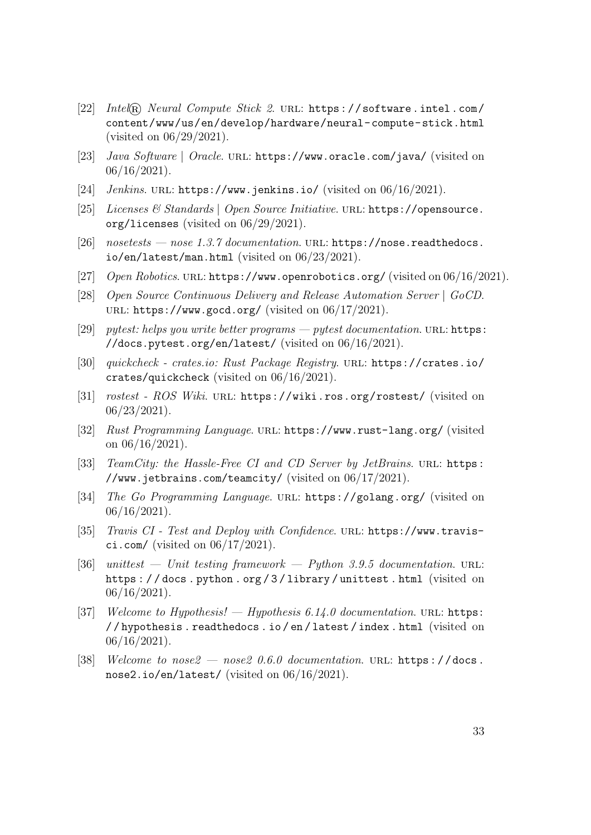- <span id="page-35-10"></span>[22] Intel® Neural Compute Stick 2. URL: [https://software.intel.com/](https://software.intel.com/content/www/us/en/develop/hardware/neural-compute-stick.html) [content/www/us/en/develop/hardware/neural-compute-stick.html](https://software.intel.com/content/www/us/en/develop/hardware/neural-compute-stick.html) (visited on 06/29/2021).
- <span id="page-35-4"></span>[23] Java Software | Oracle. URL: <https://www.oracle.com/java/> (visited on 06/16/2021).
- <span id="page-35-13"></span>[24] *Jenkins.* URL: <https://www.jenkins.io/> (visited on 06/16/2021).
- <span id="page-35-11"></span>[25] Licenses & Standards | Open Source Initiative. URL: [https://opensource.](https://opensource.org/licenses) [org/licenses](https://opensource.org/licenses) (visited on 06/29/2021).
- <span id="page-35-6"></span>[26]  $nosetests - nose\ 1.3.7\ documentation. \ URL: \ https://nose.readthedocs.$  $nosetests - nose\ 1.3.7\ documentation. \ URL: \ https://nose.readthedocs.$ [io/en/latest/man.html](https://nose.readthedocs.io/en/latest/man.html) (visited on 06/23/2021).
- <span id="page-35-9"></span>[27] Open Robotics. URL: <https://www.openrobotics.org/> (visited on 06/16/2021).
- <span id="page-35-12"></span>[28] Open Source Continuous Delivery and Release Automation Server | GoCD. URL: <https://www.gocd.org/> (visited on  $06/17/2021$ ).
- <span id="page-35-8"></span>[29] *pytest: helps you write better programs — pytest documentation.* URL: [https:](https://docs.pytest.org/en/latest/) [//docs.pytest.org/en/latest/](https://docs.pytest.org/en/latest/) (visited on 06/16/2021).
- <span id="page-35-0"></span>[30] quickcheck - crates.io: Rust Package Registry. url: [https://crates.io/](https://crates.io/crates/quickcheck) [crates/quickcheck](https://crates.io/crates/quickcheck) (visited on 06/16/2021).
- <span id="page-35-16"></span>[31] *rostest - ROS Wiki.* URL: <https://wiki.ros.org/rostest/> (visited on 06/23/2021).
- <span id="page-35-2"></span>[32] Rust Programming Language. url: <https://www.rust-lang.org/> (visited on  $06/16/2021$ .
- <span id="page-35-14"></span>[33] TeamCity: the Hassle-Free CI and CD Server by JetBrains. URL: [https:](https://www.jetbrains.com/teamcity/) [//www.jetbrains.com/teamcity/](https://www.jetbrains.com/teamcity/) (visited on  $06/17/2021$ ).
- <span id="page-35-3"></span>[34] *The Go Programming Language.* URL: <https://golang.org/> (visited on  $06/16/2021$ .
- <span id="page-35-15"></span>[35] Travis CI - Test and Deploy with Confidence. URL: [https://www.travis](https://www.travis-ci.com/)[ci.com/](https://www.travis-ci.com/) (visited on  $06/17/2021$ ).
- <span id="page-35-5"></span>[36] unittest — Unit testing framework — Python 3.9.5 documentation. URL: [https : / / docs . python . org / 3 / library / unittest . html](https://docs.python.org/3/library/unittest.html) (visited on  $06/16/2021$ .
- <span id="page-35-1"></span>[37] Welcome to Hypothesis! — Hypothesis  $6.14.0$  documentation. URL: [https:](https://hypothesis.readthedocs.io/en/latest/index.html) [/ / hypothesis . readthedocs . io / en / latest / index . html](https://hypothesis.readthedocs.io/en/latest/index.html) (visited on  $06/16/2021$ .
- <span id="page-35-7"></span>[38] Welcome to nose  $2 - n$ ose  $20.6.0$  documentation. URL: https://docs. [nose2.io/en/latest/](https://docs.nose2.io/en/latest/) (visited on 06/16/2021).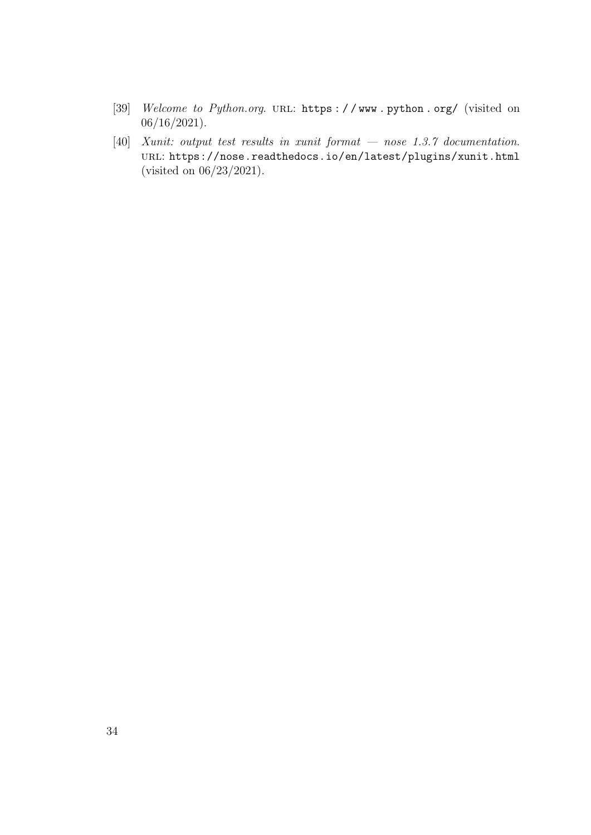- <span id="page-36-0"></span>[39] Welcome to Python.org. URL: https://www.python.org/ (visited on  $06/16/2021$ ).
- <span id="page-36-1"></span>[40] Xunit: output test results in xunit format — nose 1.3.7 documentation. url: <https://nose.readthedocs.io/en/latest/plugins/xunit.html> (visited on 06/23/2021).